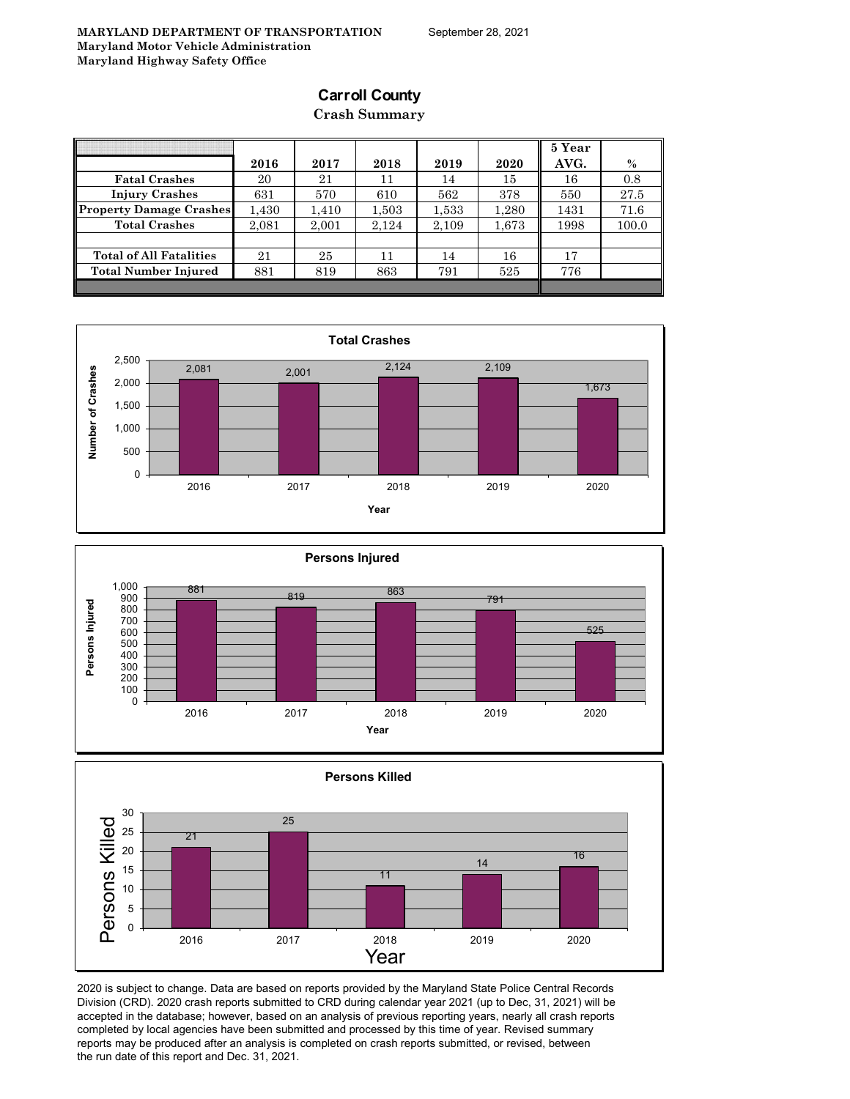# **Carroll County**

### **Crash Summary**

|                                |       |       |       |       |       | 5 Year |       |
|--------------------------------|-------|-------|-------|-------|-------|--------|-------|
|                                | 2016  | 2017  | 2018  | 2019  | 2020  | AVG.   | $\%$  |
| <b>Fatal Crashes</b>           | 20    | 21    | 11    | 14    | 15    | 16     | 0.8   |
| <b>Injury Crashes</b>          | 631   | 570   | 610   | 562   | 378   | 550    | 27.5  |
| <b>Property Damage Crashes</b> | 1.430 | 1,410 | 1,503 | 1,533 | 1,280 | 1431   | 71.6  |
| <b>Total Crashes</b>           | 2.081 | 2.001 | 2.124 | 2,109 | 1,673 | 1998   | 100.0 |
|                                |       |       |       |       |       |        |       |
| <b>Total of All Fatalities</b> | 21    | 25    | 11    | 14    | 16    | 17     |       |
| Total Number Injured           | 881   | 819   | 863   | 791   | 525   | 776    |       |
|                                |       |       |       |       |       |        |       |







2020 is subject to change. Data are based on reports provided by the Maryland State Police Central Records Division (CRD). 2020 crash reports submitted to CRD during calendar year 2021 (up to Dec, 31, 2021) will be accepted in the database; however, based on an analysis of previous reporting years, nearly all crash reports completed by local agencies have been submitted and processed by this time of year. Revised summary reports may be produced after an analysis is completed on crash reports submitted, or revised, between the run date of this report and Dec. 31, 2021.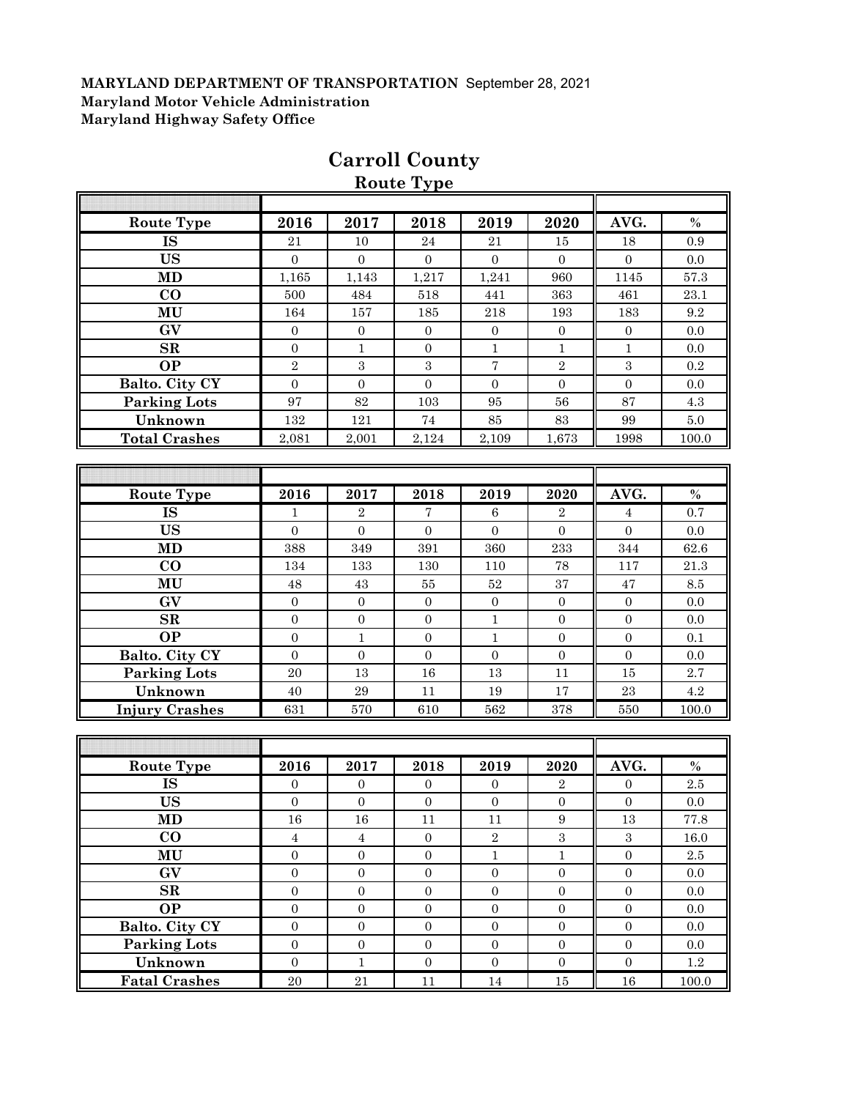|                        |                  |                  | Route Type       |                  |                  |                  |                 |
|------------------------|------------------|------------------|------------------|------------------|------------------|------------------|-----------------|
|                        |                  |                  |                  |                  |                  |                  |                 |
| <b>Route Type</b>      | 2016             | 2017             | 2018             | 2019             | 2020             | AVG.             | $\%$            |
| <b>IS</b>              | 21               | 10               | 24               | 21               | 15               | 18               | 0.9             |
| <b>US</b>              | $\overline{0}$   | $\overline{0}$   | $\overline{0}$   | $\overline{0}$   | $\Omega$         | $\overline{0}$   | 0.0             |
| MD                     | 1,165            | 1,143            | 1,217            | 1,241            | 960              | 1145             | $57.3\,$        |
| $\bf CO$               | 500              | 484              | 518              | 441              | 363              | 461              | 23.1            |
| MU                     | 164              | 157              | 185              | $218\,$          | 193              | 183              | 9.2             |
| GV                     | $\mathbf{0}$     | $\mathbf{0}$     | $\boldsymbol{0}$ | $\mathbf{0}$     | $\overline{0}$   | $\boldsymbol{0}$ | 0.0             |
| $\mathbf{SR}$          | $\mathbf{0}$     | $\mathbf{1}$     | $\boldsymbol{0}$ | $\mathbf{1}$     | $\mathbf{1}$     | $\mathbf{1}$     | 0.0             |
| <b>OP</b>              | $\sqrt{2}$       | $\sqrt{3}$       | $\boldsymbol{3}$ | $\sqrt{ }$       | $\sqrt{2}$       | $\boldsymbol{3}$ | $0.2\,$         |
| Balto. City CY         | $\mathbf{0}$     | $\boldsymbol{0}$ | $\boldsymbol{0}$ | $\overline{0}$   | $\mathbf{0}$     | $\boldsymbol{0}$ | 0.0             |
| <b>Parking Lots</b>    | 97               | 82               | 103              | 95               | 56               | 87               | 4.3             |
| Unknown                | 132              | 121              | $74\,$           | $85\,$           | 83               | 99               | $5.0\,$         |
| <b>Total Crashes</b>   | 2,081            | 2,001            | 2,124            | 2,109            | 1,673            | 1998             | 100.0           |
|                        |                  |                  |                  |                  |                  |                  |                 |
|                        |                  |                  |                  |                  |                  |                  |                 |
| <b>Route Type</b>      | 2016             | 2017             | 2018             | 2019             | 2020             | AVG.             | $\%$            |
| $\overline{\text{IS}}$ | 1                | $\sqrt{2}$       | $\overline{7}$   | 6                | $\boldsymbol{2}$ | 4                | 0.7             |
| <b>US</b>              | $\overline{0}$   | $\Omega$         | $\mathbf{0}$     | $\Omega$         | $\mathbf{0}$     | $\overline{0}$   | 0.0             |
| MD                     | 388              | 349              | 391              | 360              | 233              | 344              | $62.6\,$        |
| $\bf CO$               | 134              | 133              | 130              | 110              | 78               | 117              | 21.3            |
| MU                     | 48               | 43               | $55\,$           | $52\,$           | $37\,$           | 47               | $\!\!\!\!\!8.5$ |
| GV                     | $\mathbf{0}$     | $\mathbf{0}$     | $\boldsymbol{0}$ | $\mathbf{0}$     | $\boldsymbol{0}$ | $\boldsymbol{0}$ | 0.0             |
| $\mathbf{SR}$          | $\overline{0}$   | $\overline{0}$   | $\boldsymbol{0}$ | $\mathbf{1}$     | $\overline{0}$   | $\overline{0}$   | 0.0             |
| <b>OP</b>              | $\boldsymbol{0}$ | $1\,$            | $\boldsymbol{0}$ | $\mathbf{1}$     | $\mathbf{0}$     | $\boldsymbol{0}$ | 0.1             |
| Balto. City CY         | $\overline{0}$   | $\overline{0}$   | $\overline{0}$   | $\mathbf{0}$     | $\mathbf{0}$     | $\overline{0}$   | 0.0             |
| <b>Parking Lots</b>    | 20               | 13               | 16               | 13               | 11               | $15\,$           | $2.7\,$         |
| Unknown                | 40               | 29               | 11               | 19               | 17               | 23               | $4.2\,$         |
| <b>Injury Crashes</b>  | 631              | 570              | 610              | 562              | 378              | 550              | 100.0           |
|                        |                  |                  |                  |                  |                  |                  |                 |
|                        |                  |                  |                  |                  |                  |                  |                 |
| <b>Route Type</b>      | 2016             | 2017             | 2018             | 2019             | 2020             | AVG.             | $\%$            |
| <b>IS</b>              | $\boldsymbol{0}$ | $\boldsymbol{0}$ | $\boldsymbol{0}$ | $\boldsymbol{0}$ | $\,2$            | $\boldsymbol{0}$ | 2.5             |
| <b>US</b>              | $\overline{0}$   | $\mathbf{0}$     | $\overline{0}$   | $\overline{0}$   | $\mathbf{0}$     | $\overline{0}$   | 0.0             |
| MD                     | $16\,$           | $16\,$           | 11               | $11\,$           | $\boldsymbol{9}$ | $13\,$           | 77.8            |
| $\bf CO$               | $\overline{4}$   | $\overline{4}$   | $\boldsymbol{0}$ | $\overline{2}$   | $\overline{3}$   | $\,3$            | 16.0            |
| MU                     | $\overline{0}$   | $\overline{0}$   | $\boldsymbol{0}$ | $\mathbf{1}$     | $1\,$            | $\overline{0}$   | 2.5             |
| GV                     | $\boldsymbol{0}$ | $\boldsymbol{0}$ | $\boldsymbol{0}$ | $\boldsymbol{0}$ | $\boldsymbol{0}$ | $\boldsymbol{0}$ | 0.0             |
| $\mathbf{SR}$          | $\mathbf{0}$     | $\boldsymbol{0}$ | $\boldsymbol{0}$ | $\boldsymbol{0}$ | $\boldsymbol{0}$ | $\boldsymbol{0}$ | 0.0             |
| <b>OP</b>              | $\overline{0}$   | $\boldsymbol{0}$ | $\boldsymbol{0}$ | $\overline{0}$   | $\overline{0}$   | $\boldsymbol{0}$ | 0.0             |
| Balto. City CY         | $\boldsymbol{0}$ | $\boldsymbol{0}$ | $\boldsymbol{0}$ | $\overline{0}$   | $\boldsymbol{0}$ | $\boldsymbol{0}$ | 0.0             |
| <b>Parking Lots</b>    | $\boldsymbol{0}$ | $\overline{0}$   | $\boldsymbol{0}$ | $\overline{0}$   | $\overline{0}$   | $\overline{0}$   | 0.0             |
| Unknown                | $\overline{0}$   | $\mathbf{1}$     | $\boldsymbol{0}$ | $\overline{0}$   | $\overline{0}$   | $\boldsymbol{0}$ | $1.2\,$         |
| <b>Fatal Crashes</b>   | 20               | $21\,$           | 11               | 14               | $15\,$           | $16\,$           | 100.0           |

# **Carroll County**

**Route Type**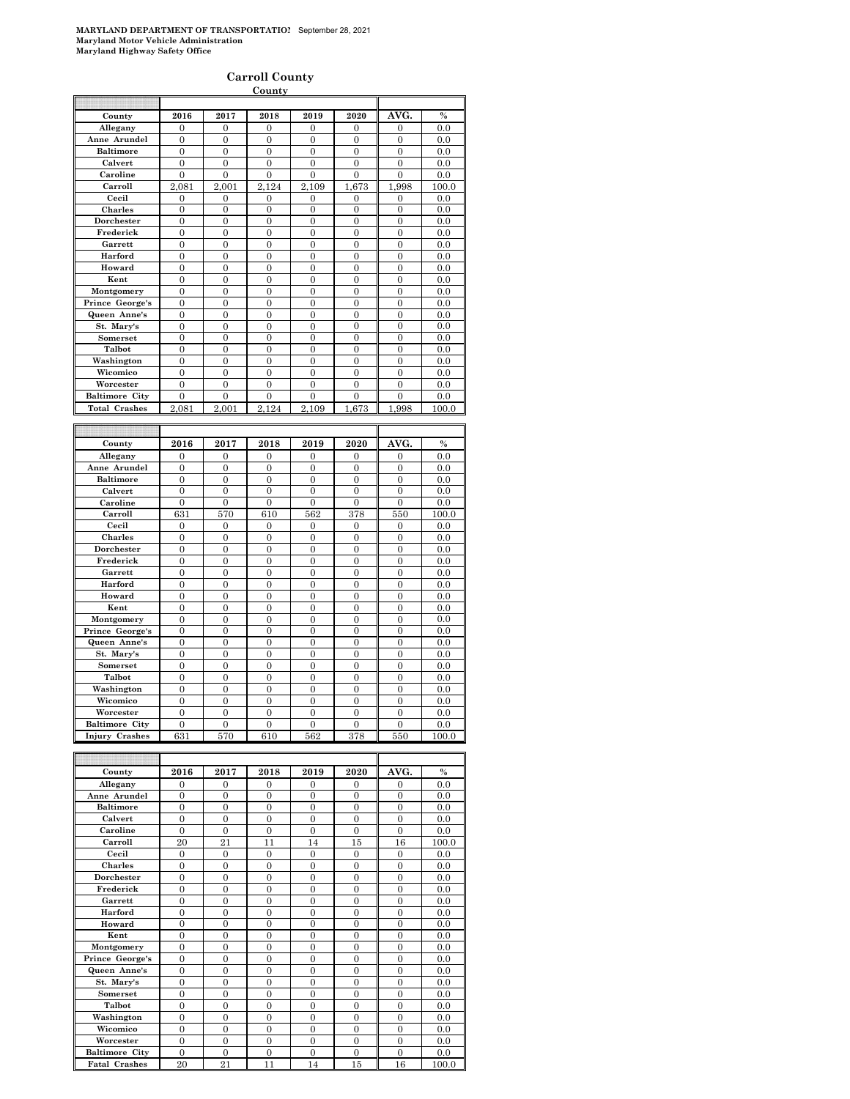#### **Carroll County**

|                       |                  |                        | County           |                       |                  |                  |               |
|-----------------------|------------------|------------------------|------------------|-----------------------|------------------|------------------|---------------|
|                       |                  |                        |                  |                       |                  |                  |               |
| County                | 2016             | 2017                   | 2018             | 2019                  | 2020             | AVG.             | $\frac{0}{0}$ |
| Allegany              | $\mathbf{0}$     | $\overline{0}$         | $\overline{0}$   | $\overline{0}$        | $\mathbf{0}$     | $\mathbf{0}$     | 0.0           |
| Anne Arundel          | $\boldsymbol{0}$ | $\boldsymbol{0}$       | $\boldsymbol{0}$ | 0                     | 0                | $\boldsymbol{0}$ | 0.0           |
| <b>Baltimore</b>      | $\boldsymbol{0}$ | $\Omega$               | $\boldsymbol{0}$ | $\overline{0}$        | $\boldsymbol{0}$ | $\boldsymbol{0}$ | 0.0           |
| Calvert               | $\theta$         | $\theta$               | $\overline{0}$   | $\theta$              | $\theta$         | $\overline{0}$   | 0.0           |
| Caroline              | $\overline{0}$   | $\overline{0}$         | $\overline{0}$   | $\overline{0}$        | $\overline{0}$   | $\overline{0}$   | 0.0           |
| Carroll               | 2.081            | $\overline{2}$<br>.001 | 2.124            | $\overline{2}$<br>109 | 673<br>1         | 1.998            | 100.0         |
| Cecil                 | 0                | 0                      | 0                | 0                     | 0                | 0                | 0.0           |
| Charles               | $\overline{0}$   | $\overline{0}$         | $\overline{0}$   | $\overline{0}$        | $\overline{0}$   | $\overline{0}$   | 0.0           |
| Dorchester            | $\mathbf{0}$     | $\mathbf{0}$           | $\mathbf{0}$     | $\mathbf{0}$          | 0                | $\boldsymbol{0}$ | 0.0           |
| Frederick             | $\mathbf{0}$     | $\boldsymbol{0}$       | $\overline{0}$   | $\mathbf{0}$          | $\mathbf{0}$     | $\boldsymbol{0}$ | 0.0           |
| Garrett               | $\overline{0}$   | $\mathbf{0}$           | $\overline{0}$   | $\overline{0}$        | $\mathbf{0}$     | $\boldsymbol{0}$ | 0.0           |
| Harford               | $\overline{0}$   | $\Omega$               | $\theta$         | $\overline{0}$        | $\theta$         | $\theta$         | 0.0           |
| Howard                | $\theta$         | $\theta$               | $\overline{0}$   | $\theta$              | $\theta$         | $\theta$         | 0.0           |
| Kent                  | $\overline{0}$   | $\overline{0}$         | $\overline{0}$   | $\overline{0}$        | $\overline{0}$   | $\overline{0}$   | 0.0           |
| Montgomery            | $\overline{0}$   | $\overline{0}$         | $\overline{0}$   | $\overline{0}$        | $\overline{0}$   | $\overline{0}$   | 0.0           |
| Prince George's       | $\overline{0}$   | $\mathbf{0}$           | $\overline{0}$   | $\overline{0}$        | $\mathbf{0}$     | $\overline{0}$   | 0.0           |
| Queen Anne's          | $\mathbf{0}$     | $\mathbf{0}$           | $\mathbf{0}$     | $\mathbf{0}$          | $\mathbf{0}$     | 0                | 0.0           |
| St. Mary's            | $\mathbf{0}$     | $\mathbf{0}$           | $\mathbf{0}$     | $\mathbf{0}$          | 0                | $\boldsymbol{0}$ | 0.0           |
| Somerset              | $\boldsymbol{0}$ | $\boldsymbol{0}$       | $\mathbf{0}$     | $\mathbf{0}$          | $\mathbf{0}$     | $\boldsymbol{0}$ | 0.0           |
| Talbot                | $\overline{0}$   | $\Omega$               | $\theta$         | $\theta$              | $\theta$         | $\theta$         | 0.0           |
| Washington            | $\overline{0}$   | $\theta$               | $\theta$         | $\overline{0}$        | $\theta$         | $\theta$         | 0.0           |
| Wicomico              | $\overline{0}$   | $\overline{0}$         | $\overline{0}$   | $\overline{0}$        | $\overline{0}$   | $\overline{0}$   | 0.0           |
| Worcester             | $\overline{0}$   | $\overline{0}$         | $\overline{0}$   | $\overline{0}$        | $\overline{0}$   | $\overline{0}$   | 0.0           |
| <b>Baltimore City</b> | $\overline{0}$   | $\overline{0}$         | $\overline{0}$   | $\overline{0}$        | $\overline{0}$   | $\overline{0}$   | 0.0           |
| <b>Total Crashes</b>  | 2,081            | 2.001                  | 2.124            | 2,109                 | 673<br>1         | 1,998            | 100.0         |
|                       |                  |                        |                  |                       |                  |                  |               |
|                       |                  |                        |                  |                       |                  |                  |               |
| County                | 2016             | 2017                   | 2018             | 2019                  | 2020             | AVG.             | $\frac{0}{2}$ |
|                       |                  |                        |                  |                       |                  |                  |               |
| Allegany              | $\boldsymbol{0}$ | $\mathbf{0}$           | $\bf{0}$         | 0                     | 0                | 0                | 0.0           |
| Anne Arundel          | $\overline{0}$   | $\overline{0}$         | $\overline{0}$   | $\overline{0}$        | $\overline{0}$   | $\boldsymbol{0}$ | 0.0           |
| <b>Baltimore</b>      | $\mathbf{0}$     | 0                      | 0                | 0                     | 0                | 0                | 0.0           |
| Calvert               | $\overline{0}$   | $\overline{0}$         | $\overline{0}$   | $\boldsymbol{0}$      | $\overline{0}$   | $\boldsymbol{0}$ | 0.0           |
| Caroline              | $\overline{0}$   | $\overline{0}$         | $\overline{0}$   | $\overline{0}$        | $\overline{0}$   | $\overline{0}$   | 0.0           |
| Carroll               | 631              | 570                    | 610              | 562                   | 378              | 550              | 100.0         |
| Cecil                 | $\mathbf{0}$     | $\mathbf{0}$           | $\overline{0}$   | $\overline{0}$        | $\overline{0}$   | $\overline{0}$   | 0.0           |
| <b>Charles</b>        | $\overline{0}$   | $\overline{0}$         | $\overline{0}$   | $\overline{0}$        | $\overline{0}$   | $\overline{0}$   | 0.0           |
| Dorchester            | $\mathbf{0}$     | $\mathbf{0}$           | $\overline{0}$   | $\overline{0}$        | $\mathbf{0}$     | 0                | 0.0           |
| Frederick             | $\mathbf{0}$     | $\mathbf{0}$           | $\mathbf{0}$     | $\overline{0}$        | $\mathbf{0}$     | $\boldsymbol{0}$ | 0.0           |
| Garrett               | $\mathbf{0}$     | $\boldsymbol{0}$       | $\mathbf{0}$     | $\mathbf{0}$          | $\mathbf{0}$     | $\boldsymbol{0}$ | 0.0           |
| Harford               | $\mathbf{0}$     | $\mathbf{0}$           | $\mathbf{0}$     | $\mathbf{0}$          | $\mathbf{0}$     | 0                | 0.0           |
| Howard                | $\overline{0}$   | $\overline{0}$         | $\overline{0}$   | $\overline{0}$        | $\overline{0}$   | $\mathbf{0}$     | 0.0           |
| Kent                  | $\overline{0}$   | $\overline{0}$         | $\overline{0}$   | $\overline{0}$        | $\overline{0}$   | $\overline{0}$   | 0.0           |
| Montgomery            | $\overline{0}$   | $\overline{0}$         | $\overline{0}$   | $\overline{0}$        | $\overline{0}$   | $\overline{0}$   | 0.0           |
| Prince George's       | $\overline{0}$   | $\overline{0}$         | $\overline{0}$   | $\overline{0}$        | $\overline{0}$   | $\overline{0}$   | 0.0           |
| Queen Anne's          | $\overline{0}$   | $\overline{0}$         | $\overline{0}$   | $\overline{0}$        | $\overline{0}$   | $\overline{0}$   | 0.0           |
| St. Mary's            | $\boldsymbol{0}$ | $\mathbf{0}$           | $\overline{0}$   | $\mathbf{0}$          | $\mathbf{0}$     | $\boldsymbol{0}$ | 0.0           |
| Somerset              | $\mathbf{0}$     | $\boldsymbol{0}$       | $\mathbf{0}$     | 0                     | 0                | 0                | 0.0           |
| Talbot                | $\overline{0}$   | $\overline{0}$         | $\overline{0}$   | $\overline{0}$        | $\mathbf{0}$     | $\overline{0}$   | 0.0           |
| Washington            | $\overline{0}$   | $\overline{0}$         | $\overline{0}$   | $\boldsymbol{0}$      | $\overline{0}$   | $\overline{0}$   | 0.0           |
| Wicomico              | $\overline{0}$   | $\overline{0}$         | $\overline{0}$   | $\overline{0}$        | $\overline{0}$   | $\overline{0}$   | 0.0           |
| Worcester             | $\overline{0}$   | $\overline{0}$         | $\overline{0}$   | $\overline{0}$        | $\overline{0}$   | $\overline{0}$   | 0.0           |
| <b>Baltimore City</b> | $\overline{0}$   | $\theta$               | $\theta$         | $\overline{0}$        | $\theta$         | $\overline{0}$   | 0.0           |
| <b>Injury Crashes</b> | 631              | 570                    | 610              | 562                   | 378              | 550              | 100.0         |
|                       |                  |                        |                  |                       |                  |                  |               |
|                       |                  |                        |                  |                       |                  |                  |               |
| County                | 2016             | 2017                   | 2018             | 2019                  | 2020             | AVG.             | $\frac{0}{0}$ |
| Allegany              | $\boldsymbol{0}$ | $\boldsymbol{0}$       | $\mathbf{0}$     | $\mathbf{0}$          | $\mathbf{0}$     | $\boldsymbol{0}$ | 0.0           |

| county                | 40 I O         | 40 L I         | 40 I O         | 40 I J         | 4040           | AVU.           | 70    |
|-----------------------|----------------|----------------|----------------|----------------|----------------|----------------|-------|
| Allegany              | $\Omega$       | $\Omega$       | $\Omega$       | $\Omega$       | $\Omega$       | $\Omega$       | 0.0   |
| Anne Arundel          | $\theta$       | $\theta$       | $\theta$       | $\theta$       | $\theta$       | $\mathbf{0}$   | 0.0   |
| <b>Baltimore</b>      | $\Omega$       | $\Omega$       | $\Omega$       | $\Omega$       | $\Omega$       | $\Omega$       | 0.0   |
| Calvert               | $\Omega$       | $\Omega$       | $\theta$       | $\Omega$       | $\Omega$       | $\overline{0}$ | 0.0   |
| Caroline              | $\theta$       | $\theta$       | $\theta$       | $\theta$       | $\Omega$       | $\overline{0}$ | 0.0   |
| Carroll               | 20             | 21             | 11             | 14             | 15             | 16             | 100.0 |
| Cecil                 | $\mathbf{0}$   | $\mathbf{0}$   | $\overline{0}$ | $\mathbf{0}$   | $\mathbf{0}$   | $\mathbf{0}$   | 0.0   |
| <b>Charles</b>        | $\overline{0}$ | $\theta$       | $\theta$       | $\Omega$       | $\Omega$       | $\overline{0}$ | 0.0   |
| Dorchester            | $\overline{0}$ | $\theta$       | $\theta$       | $\Omega$       | $\overline{0}$ | $\overline{0}$ | 0.0   |
| Frederick             | $\theta$       | $\theta$       | $\theta$       | $\theta$       | $\theta$       | $\overline{0}$ | 0.0   |
| Garrett               | $\overline{0}$ | $\overline{0}$ | $\overline{0}$ | $\overline{0}$ | $\overline{0}$ | $\overline{0}$ | 0.0   |
| Harford               | $\Omega$       | $\theta$       | $\theta$       | $\Omega$       | $\theta$       | $\theta$       | 0.0   |
| Howard                | $\theta$       | $\Omega$       | $\theta$       | $\Omega$       | $\theta$       | $\overline{0}$ | 0.0   |
| Kent                  | $\overline{0}$ | $\overline{0}$ | $\theta$       | $\overline{0}$ | $\overline{0}$ | $\overline{0}$ | 0.0   |
| Montgomery            | $\theta$       | $\theta$       | $\theta$       | $\theta$       | $\theta$       | $\overline{0}$ | 0.0   |
| Prince George's       | $\overline{0}$ | $\Omega$       | $\theta$       | $\Omega$       | $\overline{0}$ | $\overline{0}$ | 0.0   |
| Queen Anne's          | $\overline{0}$ | $\Omega$       | $\theta$       | $\Omega$       | $\theta$       | $\overline{0}$ | 0.0   |
| St. Mary's            | $\overline{0}$ | $\overline{0}$ | $\overline{0}$ | $\overline{0}$ | $\overline{0}$ | $\overline{0}$ | 0.0   |
| Somerset              | $\overline{0}$ | $\theta$       | $\theta$       | $\Omega$       | $\theta$       | $\overline{0}$ | 0.0   |
| Talbot                | $\overline{0}$ | $\Omega$       | $\Omega$       | $\Omega$       | $\overline{0}$ | $\overline{0}$ | 0.0   |
| Washington            | $\theta$       | $\theta$       | $\theta$       | $\theta$       | $\theta$       | $\overline{0}$ | 0.0   |
| Wicomico              | $\Omega$       | $\Omega$       | $\theta$       | $\Omega$       | $\theta$       | $\overline{0}$ | 0.0   |
| Worcester             | $\overline{0}$ | $\overline{0}$ | $\overline{0}$ | $\overline{0}$ | $\overline{0}$ | $\overline{0}$ | 0.0   |
| <b>Baltimore City</b> | $\overline{0}$ | $\overline{0}$ | $\overline{0}$ | $\overline{0}$ | $\overline{0}$ | $\mathbf{0}$   | 0.0   |
| <b>Fatal Crashes</b>  | 20             | 21             | 11             | 14             | 15             | 16             | 100.0 |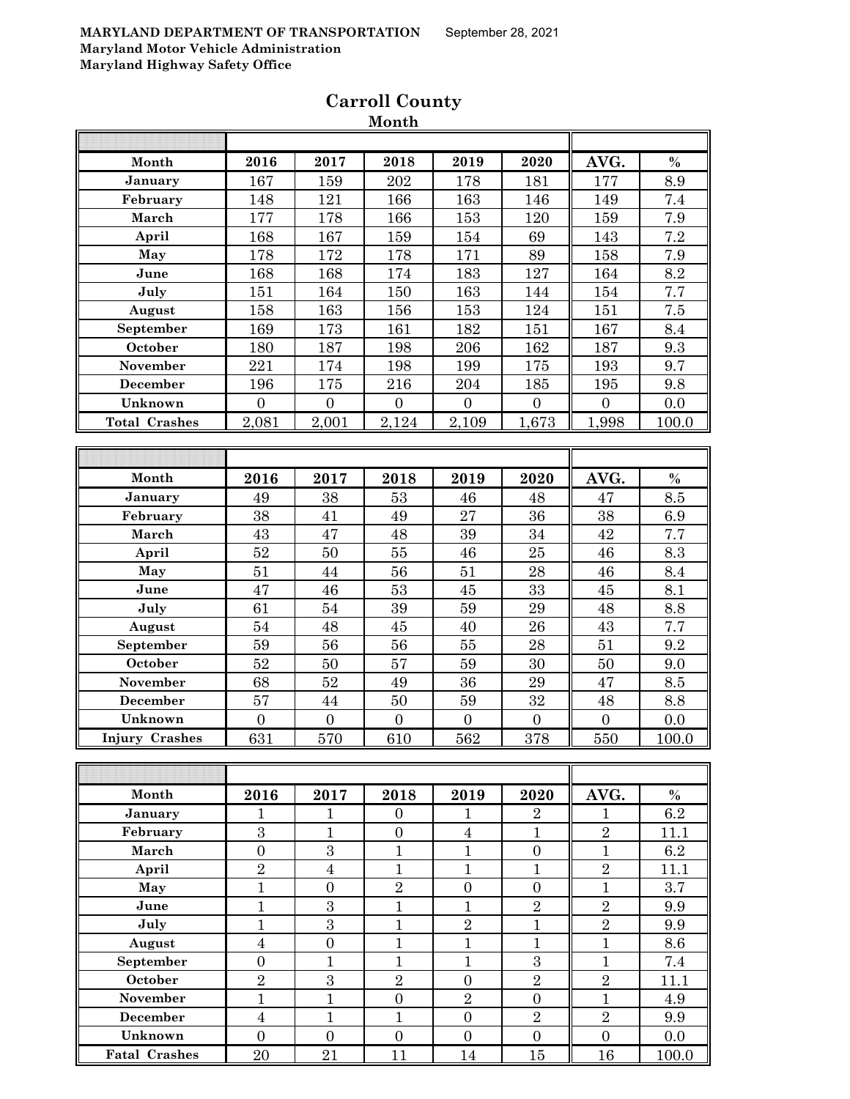| Month                 | 2016             | 2017             | 2018             | 2019             | 2020             | AVG.             | $\%$  |
|-----------------------|------------------|------------------|------------------|------------------|------------------|------------------|-------|
| January               | 167              | 159              | 202              | 178              | 181              | 177              | 8.9   |
| February              | 148              | 121              | 166              | 163              | 146              | 149              | 7.4   |
| March                 | 177              | 178              | 166              | 153              | 120              | 159              | 7.9   |
| April                 | 168              | 167              | 159              | 154              | 69               | 143              | 7.2   |
| May                   | 178              | 172              | 178              | 171              | 89               | 158              | 7.9   |
| June                  | 168              | 168              | 174              | 183              | 127              | 164              | 8.2   |
| July                  | 151              | 164              | 150              | 163              | 144              | 154              | 7.7   |
| August                | 158              | 163              | 156              | 153              | 124              | 151              | 7.5   |
| September             | 169              | 173              | 161              | 182              | 151              | 167              | 8.4   |
| October               | 180              | 187              | 198              | 206              | 162              | 187              | 9.3   |
| November              | 221              | 174              | 198              | 199              | 175              | 193              | 9.7   |
| December              | 196              | 175              | $216\,$          | 204              | 185              | 195              | 9.8   |
| Unknown               | $\overline{0}$   | $\overline{0}$   | $\boldsymbol{0}$ | $\boldsymbol{0}$ | $\boldsymbol{0}$ | $\boldsymbol{0}$ | 0.0   |
| <b>Total Crashes</b>  | 2,081            | 2,001            | 2,124            | 2,109            | 1,673            | 1,998            | 100.0 |
|                       |                  |                  |                  |                  |                  |                  |       |
|                       |                  |                  |                  |                  |                  |                  |       |
| Month                 | 2016             | 2017             | 2018             | 2019             | 2020             | AVG.             | $\%$  |
| January               | 49               | 38               | 53               | 46               | 48               | 47               | 8.5   |
| February              | 38               | 41               | 49               | 27               | 36               | 38               | 6.9   |
| March                 | 43               | 47               | 48               | 39               | 34               | 42               | 7.7   |
| April                 | 52               | 50               | 55               | 46               | 25               | 46               | 8.3   |
| May                   | 51               | 44               | 56               | 51               | $\bf{28}$        | 46               | 8.4   |
| June                  | 47               | 46               | $53\,$           | 45               | 33               | 45               | 8.1   |
| July                  | 61               | 54               | 39               | $\bf 59$         | 29               | 48               | 8.8   |
| August                | 54               | 48               | $45\,$           | 40               | 26               | 43               | 7.7   |
| September             | 59               | 56               | 56               | 55               | ${\bf 28}$       | 51               | 9.2   |
| October               | 52               | 50               | 57               | 59               | 30               | 50               | 9.0   |
| November              | 68               | 52               | 49               | 36               | 29               | 47               | 8.5   |
| December              | 57               | $\rm 44$         | $50\,$           | 59               | 32               | 48               | 8.8   |
| Unknown               | $\overline{0}$   | $\overline{0}$   | $\boldsymbol{0}$ | $\overline{0}$   | $\overline{0}$   | $\overline{0}$   | 0.0   |
| <b>Injury Crashes</b> | 631              | 570              | 610              | 562              | 378              | 550              | 100.0 |
|                       |                  |                  |                  |                  |                  |                  |       |
|                       |                  |                  |                  |                  |                  |                  |       |
| Month                 | 2016             | 2017             | 2018             | 2019             | 2020             | AVG.             | $\%$  |
| January               | $\mathbf{1}$     | $\mathbf{1}$     | $\overline{0}$   | 1                | $\overline{2}$   | 1                | 6.2   |
| February              | 3                | $\mathbf{1}$     | $\overline{0}$   | $\overline{4}$   | $\mathbf{1}$     | $\overline{2}$   | 11.1  |
| March                 | $\boldsymbol{0}$ | $\sqrt{3}$       | $\mathbf{1}$     | $\mathbf{1}$     | $\boldsymbol{0}$ | $\mathbf{1}$     | 6.2   |
| April                 | $\overline{2}$   | $\overline{4}$   | $\mathbf{1}$     | $\mathbf{1}$     | $\mathbf{1}$     | $\overline{2}$   | 11.1  |
| May                   | $\mathbf{1}$     | $\boldsymbol{0}$ | $\overline{2}$   | $\boldsymbol{0}$ | $\boldsymbol{0}$ | $\mathbf{1}$     | 3.7   |
| June                  | $\mathbf{1}$     | 3                | $\mathbf{1}$     | $\mathbf{1}$     | $\overline{2}$   | $\overline{2}$   | 9.9   |
| July                  | $\mathbf{1}$     | $\overline{3}$   | $\mathbf{1}$     | $\overline{2}$   | $\mathbf{1}$     | $\overline{2}$   | 9.9   |
| August                | $\overline{4}$   | $\boldsymbol{0}$ | $\mathbf{1}$     | $\mathbf{1}$     | $\mathbf{1}$     | $\mathbf{1}$     | 8.6   |
| September             | $\boldsymbol{0}$ | $\mathbf{1}$     | $\mathbf{1}$     | $\mathbf{1}$     | 3                | $\mathbf{1}$     | 7.4   |
| October               | $\overline{2}$   | $\overline{3}$   | $\overline{2}$   | $\mathbf{0}$     | $\overline{2}$   | $\overline{2}$   | 11.1  |
| November              | $\mathbf{1}$     | $\mathbf{1}$     | $\boldsymbol{0}$ | $\overline{2}$   | $\overline{0}$   | $\mathbf{1}$     | 4.9   |
| December              | $\overline{4}$   | $\mathbf{1}$     | $\mathbf{1}$     | $\overline{0}$   | $\sqrt{2}$       | $\overline{2}$   | 9.9   |
| Unknown               | $\overline{0}$   | $\boldsymbol{0}$ | $\boldsymbol{0}$ | $\boldsymbol{0}$ | $\boldsymbol{0}$ | $\overline{0}$   | 0.0   |
| <b>Fatal Crashes</b>  | 20               | 21               | 11               | 14               | 15               | 16               | 100.0 |

# **Carroll County Month**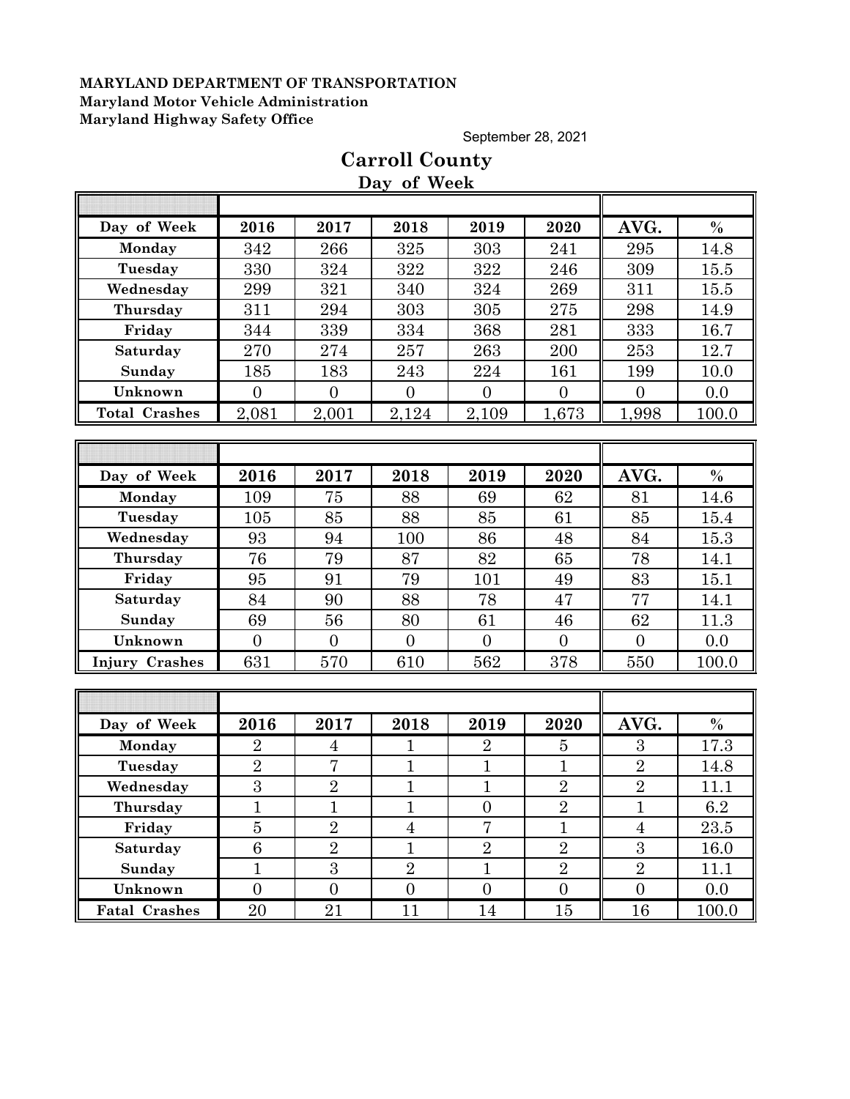September 28, 2021

# **Day of Week Day of Week 2016 2017 2018 2019 2020 AVG. % Monday | 342 | 266 | 325 | 303 | 241 || 295 | 14.8 Tuesday** 330 324 322 322 246 309 15.5 **Wednesday** 299 321 340 324 269 311 35.5 **Thursday** 311 294 303 305 275 298 14.9 **Friday | 344 | 339 | 334 | 368 | 281 || 333 | 16.7 Saturday** 270 274 257 263 200 253 12.7 **Sunday | 185 | 183 | 243 | 224 | 161 || 199 | 10.0 Unknown** 0 0 0 0 0 0 0.0 **Total Crashes** 2,081 2,001 2,124 2,109 1,673 1,998 100.0 **Day of Week 2016 2017 2018 2019 2020 AVG. % Monday | 109 | 75 | 88 | 69 | 62 || 81 | 14.6** Tuesday | 105 | 85 | 88 | 85 | 61 || 85 | 15.4 **Wednesday | 93 | 94 | 100 | 86 | 48 || 84 | 15.3 Thursday | 76 | 79 | 87 | 82 | 65 || 78 | 14.1 Friday | 95 | 91 | 79 | 101 | 49 || 83 | 15.1 Saturday | 84 | 90 | 88 | 78 | 47 || 77 | 14.1 Sunday | 69 | 56 | 80 | 61 | 46 || 62 | 11.3 Unknown** 0 0 0 0 0 0 0.0 **Injury Crashes** 631 570 610 562 378 550 100.0 **Day of Week 2016 2017 2018 2019 2020 AVG. % Monday | 2 | 4 | 1 | 2 | 5 || 3 | 17.3 Tuesday | 2 | 7 | 1 | 1 | 1 | 2 | 1**4.8 **Wednesday** 3 3 2 1 1 1 2 2 2 11.1 **Thursday** 1 1 1 0 2 1 6.2 **Friday | 5 | 2 | 4 | 7 | 1 | 4 | 23.5 Saturday 6 6 2 1 2 2 2 3 16.0 Sunday** 1 3 3 2 1 2 2 2 1 2 **Unknown 0 0 0 0 0 0 0 0 0 0 Fatal Crashes** 20 21 11 14 15 15 16 100.0

# **Carroll County**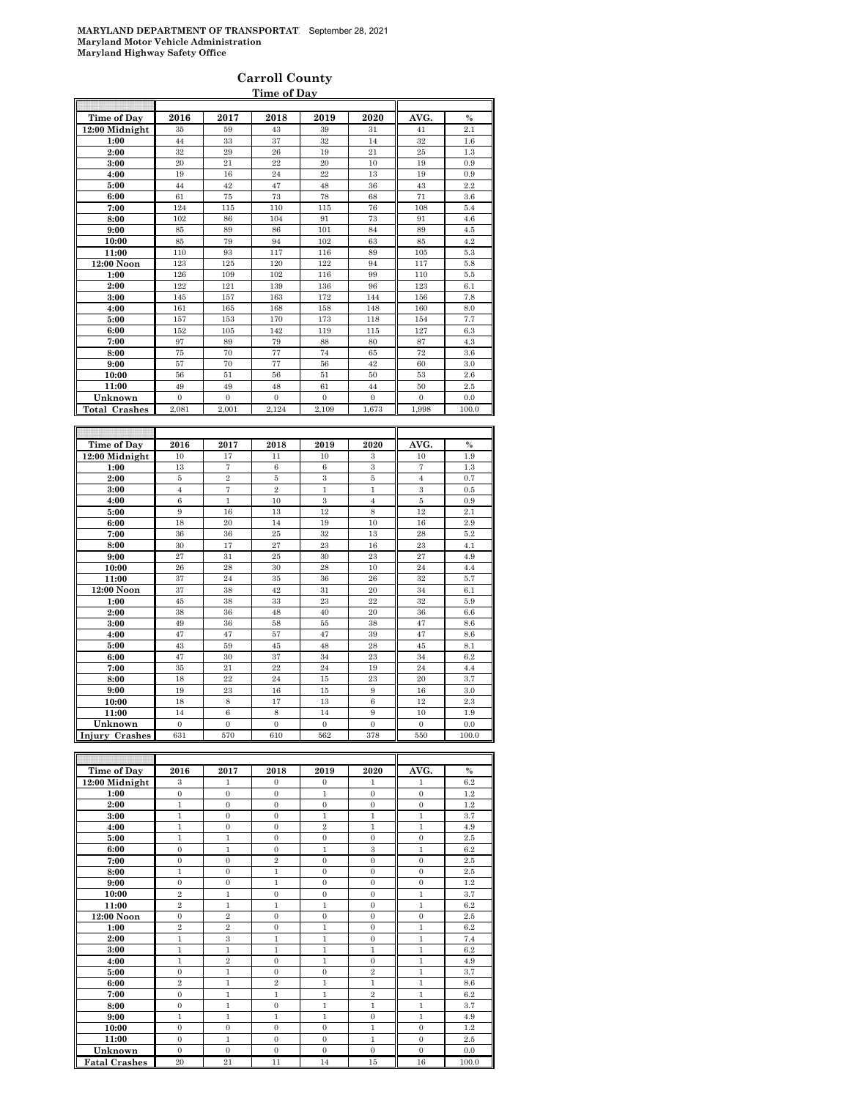### **Carroll County Time of Day**

| Time of Day                          | 2016           | 2017              | 2018           | 2019           | 2020           | AVG.           | $\%$          |
|--------------------------------------|----------------|-------------------|----------------|----------------|----------------|----------------|---------------|
| 12:00 Midnight                       | 35             | 59                | 43             | 39             | 31             | 41             | 2.1           |
| 1:00                                 | 44             | 33                | 37             | 32             | 14             | 32             | 1.6           |
| 2:00                                 | 32             | 29                | 26             | 19             | 21             | 25             | 1.3           |
| 3:00                                 | 20             | 21                | 22             | 20             | 10             | 19             | 0.9           |
| 4:00                                 | 19             | 16                | 24             | 22             | 13             | 19             | 0.9           |
| 5:00                                 | 44             | 42                | 47             | 48             | 36             | 43             | 2.2           |
| 6:00                                 | 61             | 75                | 73             | 78             | 68             | 71             | 3.6           |
| 7:00                                 | 124            | 115               | 110            | 115            | 76             | 108            | 5.4           |
| 8:00                                 | 102            | 86                | 104            | 91             | 73             | 91             | 4.6           |
| 9:00                                 | 85             | 89                | 86             | 101            | 84             | 89             | 4.5           |
| 10:00                                | 85             | 79                | 94             | 102            | 63             | 85             | 4.2           |
| 11:00                                | 110            | 93                | 117            | 116            | 89             | 105            | 5.3           |
| 12:00 Noon                           | 123            | 125               | 120            | 122            | 94             | 117            | 5.8           |
| 1:00                                 | 126            | 109               | 102            | 116            | 99             | 110            | 5.5           |
| 2:00                                 | 122            | 121               | 139            | 136            | 96             | 123            | 6.1           |
| 3:00                                 | 145            | 157               | 163            | 172            | 144            | 156            | 7.8           |
| 4:00                                 | 161            | 165               | 168            | 158            | 148            | 160            | 8.0           |
| 5:00                                 | 157            | 153               | 170            | 173            | 118            | 154            | 7.7           |
| 6:00                                 | 152            | 105               | 142            | 119            | 115            | 127            | 6.3           |
| 7:00                                 | 97             | 89                | 79             | 88             | 80             | 87             | 4.3           |
| 8:00                                 | 75             | 70                | 77             | 74             | 65             | 72             | 3.6           |
| 9:00                                 | 57             | 70                | 77             | 56             | 42             | 60             | 3.0           |
| 10:00                                | 56             | 51                | 56             | 51             | 50             | 53             | 2.6           |
| 11:00                                | 49             | 49                | 48             | 61             | 44             | 50             | 2.5           |
| Unknown                              | $\mathbf{0}$   | $\overline{0}$    | $\overline{0}$ | $\overline{0}$ | $\mathbf{0}$   | $\mathbf{0}$   | 0.0           |
| <b>Total Crashes</b>                 | 2,081          | 2,001             | 2,124          | 2,109          | 1,673          | 1,998          | 100.0         |
|                                      |                |                   |                |                |                |                |               |
|                                      |                |                   |                |                |                |                |               |
| Time of Day                          | 2016           | 2017              | 2018           | 2019           | 2020           | AVG.           | $\frac{9}{6}$ |
| 12:00 Midnight                       | 10             | 17                | 11             | 10             | 3              | 10             | 1.9           |
| 1:00                                 | 13             | $\scriptstyle{7}$ | $\,6$          | 6              | 3              | 7              | 1.3           |
| 2:00                                 | $\bf 5$        | $\overline{2}$    | $\overline{5}$ | 3              | $\bf 5$        | $\overline{4}$ | 0.7           |
| 3:00                                 | $\overline{4}$ | $\overline{7}$    | $\overline{2}$ | $\mathbf{1}$   | $\mathbf{1}$   | 3              | 0.5           |
| 4:00                                 | 6              | $\mathbf{1}$      | 10             | 3              | $\overline{4}$ | 5              | 0.9           |
| 5:00                                 | 9              | 16                | 13             | 12             | 8              | 12             | 2.1           |
| 6:00                                 | 18             | 20                | 14             | 19             | 10             | 16             | 2.9           |
| 7:00                                 | 36             | 36                | 25             | 32             | 13             | 28             | 5.2           |
| 8:00                                 | 30             | 17                | 27             | 23             | 16             | 23             | 4.1           |
| 9:00                                 | 27             | 31                | 25             | 30             | 23             | 27             | 4.9           |
| 10:00                                | 26             | 28                | 30             | 28             | 10             | 24             | 4.4           |
| 11:00                                | 37             | 24                | 35             | 36             | 26             | 32             | 5.7           |
| 12:00 Noon                           | 37             | 38                | 42             | 31             | 20             | 34             | 6.1           |
| 1:00                                 | 45             | 38                | 33             | 23             | $^{22}$        | 32             | 5.9           |
| 2:00                                 | 38             | 36                | 48             | 40             | 20             | 36             | 6.6           |
| 3:00                                 | 49             | 36                | 58             | 55             | 38             | 47             | 8.6           |
| 4:00                                 | 47             | 47                | 57             | 47             | 39             | 47             | 8.6           |
| 5:00                                 | 43             | 59                | 45             | 48             | 28             | 45             | 8.1           |
| 6:00                                 | 47             | 30                | 37             | 34             | 23             | 34             | 6.2           |
| 7:00                                 | 35             | 21                | 22             | 24             | 19             | 24             | 4.4           |
| 8:00                                 | 18             | 22                | 24             | 15             | 23             | 20             | 3.7           |
| 9:00                                 | 19             | 23                | 16             | $15\,$         | 9              | 16             | 3.0           |
| 10:00                                | 18             | $\,$ 8 $\,$       | 17             | 13             | $\,6$          | 12             | 2.3           |
| 11:00                                | 14             | $\,6$             | 8              | 14             | 9              | 10             | 1.9           |
| Unknown                              | $\mathbf{0}$   | $\overline{0}$    | $\mathbf{0}$   | $\mathbf{0}$   | $\overline{0}$ | $\mathbf{0}$   | 0.0           |
| <b>Injury Crashes</b>                | 631            | 570               | 610            | 562            | 378            | 550            | 100.0         |
|                                      |                |                   |                |                |                |                |               |
|                                      |                |                   |                |                |                |                |               |
| <b>Time of Day</b><br>12:00 Midnight | 2016           | 2017              | 2018           | 2019           | 2020           | AVG.           | $\%$<br>6.2   |
|                                      | 3              | ı                 | $\Omega$       | $\Omega$       |                | 1              |               |

| Time of Day          | 40 I O         | 40 L I         | 40 I O           | 40 L J       | 4040           | Avv.         | 70      |
|----------------------|----------------|----------------|------------------|--------------|----------------|--------------|---------|
| 12:00 Midnight       | 3              | $\mathbf{1}$   | $\mathbf{0}$     | $\Omega$     | $\mathbf{1}$   | $\mathbf{1}$ | 6.2     |
| 1:00                 | $\mathbf{0}$   | $\mathbf{0}$   | $\mathbf{0}$     | $\mathbf{1}$ | $\mathbf{0}$   | $\mathbf{0}$ | 1.2     |
| 2:00                 | $\mathbf{1}$   | $\mathbf{0}$   | $\mathbf{0}$     | $\mathbf{0}$ | $\mathbf{0}$   | $\mathbf{0}$ | 1.2     |
| 3:00                 | $\mathbf{1}$   | $\mathbf{0}$   | $\mathbf{0}$     | $\mathbf{1}$ | $\mathbf{1}$   | $\mathbf{1}$ | 3.7     |
| 4:00                 | $\mathbf{1}$   | $\mathbf{0}$   | $\mathbf{0}$     | $\mathbf{2}$ | $\mathbf{1}$   | $\mathbf{1}$ | 4.9     |
| 5:00                 | $\mathbf{1}$   | $\mathbf{1}$   | $\mathbf{0}$     | $\mathbf{0}$ | $\mathbf{0}$   | $\mathbf{0}$ | $2.5\,$ |
| 6:00                 | $\mathbf{0}$   | $\mathbf{1}$   | $\mathbf{0}$     | $\mathbf{1}$ | 3              | $\mathbf{1}$ | 6.2     |
| 7:00                 | $\mathbf{0}$   | $\mathbf{0}$   | $\overline{2}$   | $\mathbf{0}$ | $\mathbf{0}$   | $\mathbf{0}$ | 2.5     |
| 8:00                 | $\mathbf{1}$   | $\mathbf{0}$   | $\mathbf{1}$     | $\mathbf{0}$ | $\mathbf{0}$   | $\mathbf{0}$ | 2.5     |
| 9:00                 | $\mathbf{0}$   | $\mathbf{0}$   | $\mathbf{1}$     | $\mathbf{0}$ | $\mathbf{0}$   | $\mathbf{0}$ | 1.2     |
| 10:00                | $\overline{2}$ | $\mathbf{1}$   | $\mathbf{0}$     | $\mathbf{0}$ | $\mathbf{0}$   | $\mathbf{1}$ | 3.7     |
| 11:00                | $\overline{2}$ | $\mathbf{1}$   | $\mathbf{1}$     | $\mathbf{1}$ | $\mathbf{0}$   | $\,1$        | 6.2     |
| 12:00 Noon           | $\mathbf{0}$   | $\overline{2}$ | $\mathbf{0}$     | $\mathbf{0}$ | $\mathbf{0}$   | $\mathbf{0}$ | 2.5     |
| 1:00                 | $\overline{2}$ | $\overline{2}$ | $\mathbf{0}$     | $\mathbf{1}$ | $\mathbf{0}$   | $\mathbf{1}$ | 6.2     |
| 2:00                 | $\mathbf{1}$   | 3              | $\mathbf{1}$     | $\,1$        | $\mathbf{0}$   | $\mathbf{1}$ | 7.4     |
| 3:00                 | $\mathbf{1}$   | $\mathbf{1}$   | $\mathbf{1}$     | $\mathbf{1}$ | $\mathbf{1}$   | $\mathbf{1}$ | 6.2     |
| 4:00                 | $\mathbf{1}$   | $\overline{2}$ | $\mathbf{0}$     | $\mathbf{1}$ | $\mathbf{0}$   | $\mathbf{1}$ | 4.9     |
| 5:00                 | $\mathbf{0}$   | $\mathbf{1}$   | $\mathbf{0}$     | $\mathbf{0}$ | $\overline{2}$ | 1            | 3.7     |
| 6:00                 | $\overline{2}$ | $\mathbf{1}$   | $\overline{2}$   | $\mathbf{1}$ | $\mathbf{1}$   | $\mathbf{1}$ | 8.6     |
| 7:00                 | $\mathbf{0}$   | $\mathbf{1}$   | 1                | $\mathbf{1}$ | $\overline{2}$ | $\mathbf{1}$ | 6.2     |
| 8:00                 | $\mathbf{0}$   | $\mathbf{1}$   | $\boldsymbol{0}$ | $\mathbf{1}$ | $\mathbf{1}$   | 1            | 3.7     |
| 9:00                 | $\mathbf{1}$   | $\mathbf{1}$   | 1                | $\mathbf{1}$ | $\mathbf{0}$   | $\mathbf{1}$ | 4.9     |
| 10:00                | $\mathbf{0}$   | $\mathbf{0}$   | $\mathbf{0}$     | $\mathbf{0}$ | $\mathbf{1}$   | $\mathbf{0}$ | 1.2     |
| 11:00                | $\mathbf{0}$   | $\mathbf{1}$   | $\mathbf{0}$     | $\mathbf{0}$ | $\mathbf{1}$   | $\mathbf{0}$ | 2.5     |
| Unknown              | $\Omega$       | $\Omega$       | $\mathbf{0}$     | $\Omega$     | $\mathbf{0}$   | $\mathbf{0}$ | 0.0     |
| <b>Fatal Crashes</b> | 20             | 21             | 11               | 14           | $15\,$         | 16           | 100.0   |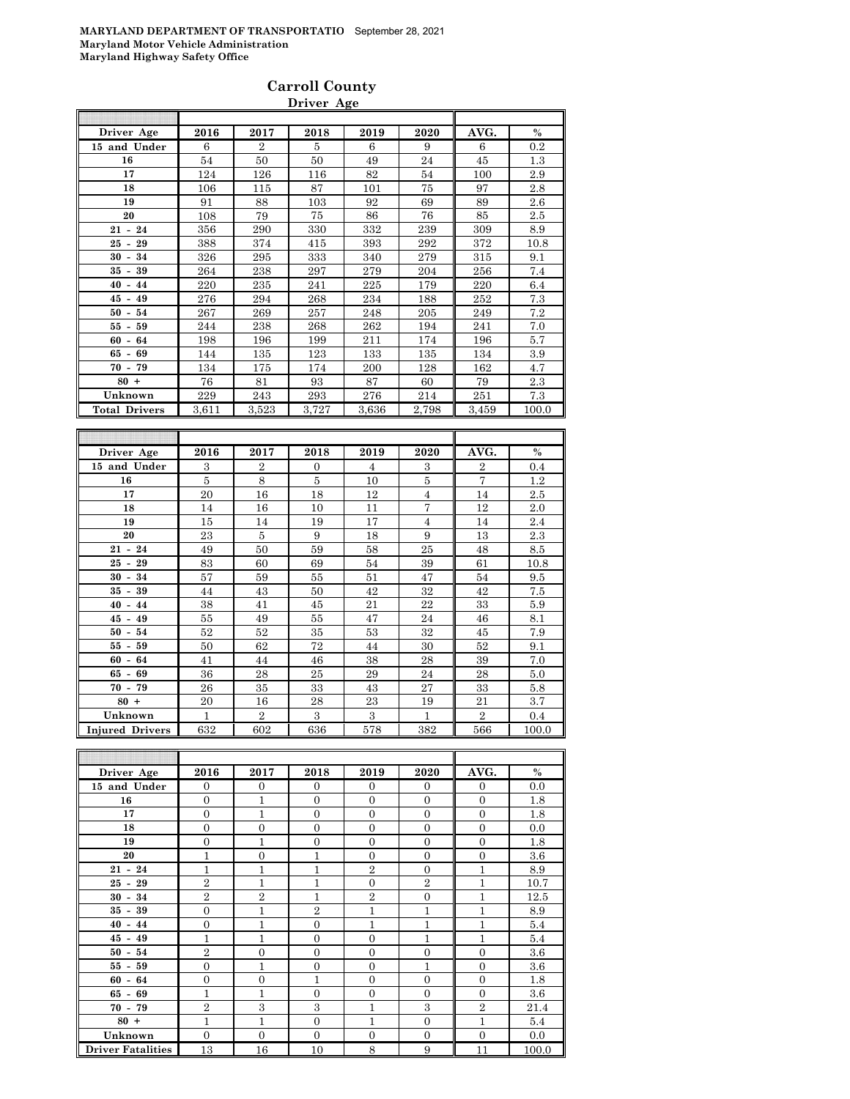### **Carroll County Driver Age**

| Driver Age           | 2016  | 2017           | 2018  | 2019  | 2020  | AVG.  | $\%$  |
|----------------------|-------|----------------|-------|-------|-------|-------|-------|
| 15 and Under         | 6     | $\overline{2}$ | 5     | 6     | 9     | 6     | 0.2   |
| 16                   | 54    | 50             | 50    | 49    | 24    | 45    | 1.3   |
| 17                   | 124   | 126            | 116   | 82    | 54    | 100   | 2.9   |
| 18                   | 106   | 115            | 87    | 101   | 75    | 97    | 2.8   |
| 19                   | 91    | 88             | 103   | 92    | 69    | 89    | 2.6   |
| 20                   | 108   | 79             | 75    | 86    | 76    | 85    | 2.5   |
| $21 - 24$            | 356   | 290            | 330   | 332   | 239   | 309   | 8.9   |
| $25 - 29$            | 388   | 374            | 415   | 393   | 292   | 372   | 10.8  |
| $30 - 34$            | 326   | 295            | 333   | 340   | 279   | 315   | 9.1   |
| $35 - 39$            | 264   | 238            | 297   | 279   | 204   | 256   | 7.4   |
| $40 - 44$            | 220   | 235            | 241   | 225   | 179   | 220   | 6.4   |
| $45 - 49$            | 276   | 294            | 268   | 234   | 188   | 252   | 7.3   |
| $50 - 54$            | 267   | 269            | 257   | 248   | 205   | 249   | 7.2   |
| $55 - 59$            | 244   | 238            | 268   | 262   | 194   | 241   | 7.0   |
| $60 - 64$            | 198   | 196            | 199   | 211   | 174   | 196   | 5.7   |
| $65 - 69$            | 144   | 135            | 123   | 133   | 135   | 134   | 3.9   |
| $70 - 79$            | 134   | 175            | 174   | 200   | 128   | 162   | 4.7   |
| $80 +$               | 76    | 81             | 93    | 87    | 60    | 79    | 2.3   |
| Unknown              | 229   | 243            | 293   | 276   | 214   | 251   | 7.3   |
| <b>Total Drivers</b> | 3,611 | 3,523          | 3,727 | 3,636 | 2,798 | 3,459 | 100.0 |
|                      |       |                |       |       |       |       |       |

| Driver Age             | 2016           | 2017           | 2018     | 2019 | 2020           | AVG.           | $\%$  |
|------------------------|----------------|----------------|----------|------|----------------|----------------|-------|
| 15 and Under           | 3              | $\overline{2}$ | $\Omega$ | 4    | 3              | $\overline{2}$ | 0.4   |
| 16                     | $\overline{5}$ | 8              | 5        | 10   | 5              | $\overline{7}$ | 1.2   |
| 17                     | 20             | 16             | 18       | 12   | $\overline{4}$ | 14             | 2.5   |
| 18                     | 14             | 16             | 10       | 11   | 7              | 12             | 2.0   |
| 19                     | 15             | 14             | 19       | 17   | $\overline{4}$ | 14             | 2.4   |
| 20                     | 23             | 5              | 9        | 18   | 9              | 13             | 2.3   |
| $21 - 24$              | 49             | 50             | 59       | 58   | 25             | 48             | 8.5   |
| $25 - 29$              | 83             | 60             | 69       | 54   | 39             | 61             | 10.8  |
| $30 - 34$              | 57             | 59             | 55       | 51   | 47             | 54             | 9.5   |
| $35 -$<br>39           | 44             | 43             | 50       | 42   | 32             | 42             | 7.5   |
| $40 - 44$              | 38             | 41             | 45       | 21   | 22             | 33             | 5.9   |
| $45 - 49$              | 55             | 49             | 55       | 47   | 24             | 46             | 8.1   |
| $50 - 54$              | 52             | 52             | 35       | 53   | 32             | 45             | 7.9   |
| $55 - 59$              | 50             | 62             | 72       | 44   | 30             | 52             | 9.1   |
| $60 - 64$              | 41             | 44             | 46       | 38   | 28             | 39             | 7.0   |
| $65 - 69$              | 36             | 28             | 25       | 29   | 24             | 28             | 5.0   |
| $70 - 79$              | 26             | 35             | 33       | 43   | 27             | 33             | 5.8   |
| $80 +$                 | 20             | 16             | 28       | 23   | 19             | 21             | 3.7   |
| Unknown                | 1              | $\mathbf{2}$   | 3        | 3    | $\mathbf{1}$   | $\mathbf{2}$   | 0.4   |
| <b>Injured Drivers</b> | 632            | 602            | 636      | 578  | 382            | 566            | 100.0 |

| Driver Age               | 2016           | 2017           | 2018           | 2019           | 2020           | AVG.           | $\%$    |
|--------------------------|----------------|----------------|----------------|----------------|----------------|----------------|---------|
| 15 and Under             | $\Omega$       | $\Omega$       | $\Omega$       | $\Omega$       | $\Omega$       | $\Omega$       | 0.0     |
| 16                       | $\theta$       | 1              | $\Omega$       | $\Omega$       | $\Omega$       | $\overline{0}$ | 1.8     |
| 17                       | $\overline{0}$ | 1              | $\Omega$       | $\Omega$       | $\theta$       | $\overline{0}$ | 1.8     |
| 18                       | $\Omega$       | $\overline{0}$ | $\Omega$       | $\Omega$       | $\Omega$       | $\overline{0}$ | 0.0     |
| 19                       | $\overline{0}$ | $\mathbf{1}$   | $\Omega$       | $\Omega$       | $\overline{0}$ | $\overline{0}$ | 1.8     |
| 20                       | 1              | $\overline{0}$ | 1              | $\Omega$       | $\overline{0}$ | $\overline{0}$ | $3.6\,$ |
| $21 - 24$                | $\mathbf{1}$   | $\mathbf{1}$   | $\mathbf{1}$   | $\overline{2}$ | $\Omega$       | 1              | 8.9     |
| $25 - 29$                | $\overline{2}$ | 1              | 1              | $\Omega$       | $\overline{2}$ | 1              | 10.7    |
| $30 - 34$                | $\overline{2}$ | $\overline{2}$ | 1              | $\overline{2}$ | $\overline{0}$ | 1              | 12.5    |
| $35 - 39$                | $\overline{0}$ | 1              | $\overline{2}$ | $\mathbf{1}$   | $\mathbf{1}$   | 1              | 8.9     |
| $40 - 44$                | $\overline{0}$ | $\overline{1}$ | $\Omega$       | $\overline{1}$ | $\mathbf{1}$   | 1              | 5.4     |
| $45 - 49$                | $\mathbf{1}$   | $\mathbf{1}$   | $\Omega$       | $\overline{0}$ | $\mathbf{1}$   | 1              | 5.4     |
| $50 - 54$                | $\overline{2}$ | $\Omega$       | $\Omega$       | $\Omega$       | $\overline{0}$ | $\Omega$       | 3.6     |
| $55 - 59$                | $\Omega$       | 1              | $\Omega$       | $\Omega$       | 1              | $\overline{0}$ | 3.6     |
| $60 - 64$                | $\overline{0}$ | $\overline{0}$ | $\mathbf{1}$   | $\Omega$       | $\Omega$       | $\overline{0}$ | 1.8     |
| $65 - 69$                | $\mathbf{1}$   | $\mathbf{1}$   | $\Omega$       | $\Omega$       | $\overline{0}$ | $\overline{0}$ | 3.6     |
| $70 - 79$                | $\overline{2}$ | 3              | 3              | 1              | 3              | $\overline{2}$ | 21.4    |
| $80 +$                   | $\mathbf{1}$   | $\mathbf{1}$   | $\Omega$       | 1              | $\theta$       | 1              | 5.4     |
| Unknown                  | $\overline{0}$ | $\overline{0}$ | $\Omega$       | $\Omega$       | $\overline{0}$ | $\Omega$       | 0.0     |
| <b>Driver Fatalities</b> | 13             | 16             | 10             | 8              | 9              | 11             | 100.0   |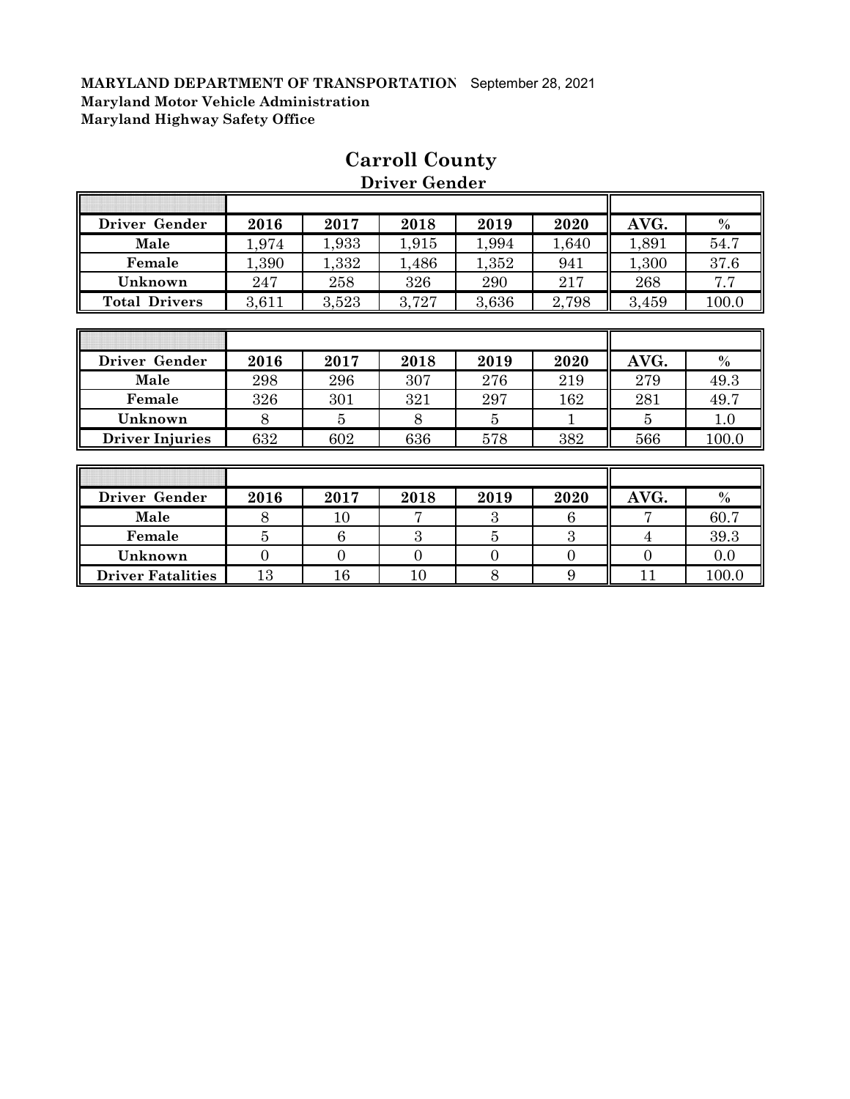Г

| Driver Gender        | 2016  | 2017  | 2018  | 2019  | 2020  | AVG.  | $\%$  |
|----------------------|-------|-------|-------|-------|-------|-------|-------|
| Male                 | 1,974 | 1,933 | 1,915 | 1,994 | 1,640 | 1,891 | 54.7  |
| Female               | 1,390 | 1,332 | 1,486 | 1,352 | 941   | 1,300 | 37.6  |
| Unknown              | 247   | 258   | 326   | 290   | 217   | 268   | 7.7   |
| <b>Total Drivers</b> | 3,611 | 3,523 | 3,727 | 3,636 | 2,798 | 3,459 | 100.0 |
|                      |       |       |       |       |       |       |       |
|                      |       |       |       |       |       |       |       |
| Driver Gender        | 2016  | 2017  | 2018  | 2019  | 2020  | AVG.  | $\%$  |
| Male                 | 298   | 296   | 307   | 276   | 219   | 279   | 49.3  |
| Female               | 326   | 301   | 321   | 297   | 162   | 281   | 49.7  |

**Unknown** 8 8 5 8 5 1 8 5 1 8 5 1 8 **Driver Injuries** 632 602 636 578 582 566 100.0

# **Carroll County Driver Gender**

T

1

| Driver Gender            | 2016 | 2017 | 2018 | 2019 | 2020 | AVG. | $\%$  |
|--------------------------|------|------|------|------|------|------|-------|
| Male                     |      |      |      |      |      |      | 60.7  |
| Female                   |      |      |      |      |      |      | 39.3  |
| Unknown                  |      |      |      |      |      |      | 0.0   |
| <b>Driver Fatalities</b> | 13   |      |      |      |      |      | 100.0 |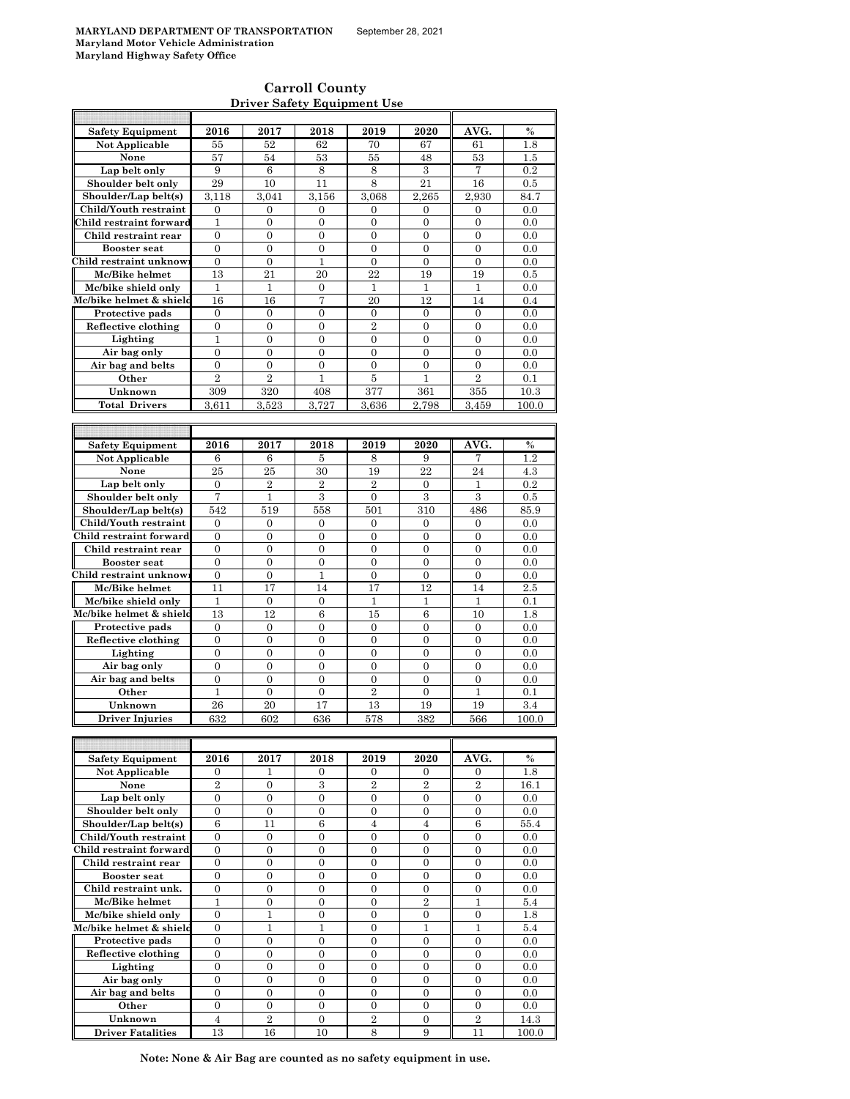$\mathsf{r}$ 

 $\overline{\phantom{a}}$ 

### **Carroll County Driver Safety Equipment Use**

| <b>Safety Equipment</b> | 2016                               | 2017                               | 2018              | 2019                | 2020                             | AVG.                               | $\%$        |
|-------------------------|------------------------------------|------------------------------------|-------------------|---------------------|----------------------------------|------------------------------------|-------------|
| Not Applicable          | 55                                 | 52                                 | 62                | 70                  | 67                               | 61                                 | 1.8         |
| None                    | 57                                 | 54                                 | 53                | 55                  | 48                               | 53                                 | 1.5         |
| Lap belt only           | 9                                  | 6                                  | 8                 | 8                   | 3                                | 7                                  | 0.2         |
|                         |                                    |                                    |                   |                     |                                  |                                    |             |
| Shoulder belt only      | 29                                 | 10                                 | 11                | 8                   | 21                               | 16                                 | 0.5         |
| Shoulder/Lap belt(s)    | 3,118                              | 3,041                              | 3,156             | 3,068               | 2,265                            | 2,930                              | 84.7        |
| Child/Youth restraint   | $\boldsymbol{0}$                   | $\boldsymbol{0}$                   | 0                 | 0                   | 0                                | 0                                  | 0.0         |
| Child restraint forward | $\mathbf{1}$                       | $\boldsymbol{0}$                   | $\overline{0}$    | $\overline{0}$      | $\boldsymbol{0}$                 | $\boldsymbol{0}$                   | 0.0         |
| Child restraint rear    | $\boldsymbol{0}$                   | $\mathbf{0}$                       | 0                 | 0                   | $\boldsymbol{0}$                 | $\boldsymbol{0}$                   | 0.0         |
|                         |                                    |                                    |                   |                     |                                  |                                    |             |
| <b>Booster seat</b>     | $\mathbf{0}$                       | $\overline{0}$                     | $\overline{0}$    | $\overline{0}$      | $\overline{0}$                   | $\overline{0}$                     | 0.0         |
| Child restraint unknow  | $\boldsymbol{0}$                   | $\boldsymbol{0}$                   | 1                 | 0                   | 0                                | 0                                  | 0.0         |
| Mc/Bike helmet          | 13                                 | 21                                 | 20                | 22                  | 19                               | 19                                 | 0.5         |
| Mc/bike shield only     | $\mathbf{1}$                       | $\mathbf{1}$                       | $\boldsymbol{0}$  | 1                   | $\mathbf{1}$                     | 1                                  | 0.0         |
| Mc/bike helmet & shield | 16                                 | 16                                 | 7                 | 20                  | 12                               | 14                                 | 0.4         |
|                         |                                    |                                    |                   |                     |                                  |                                    |             |
| Protective pads         | $\boldsymbol{0}$                   | $\boldsymbol{0}$                   | $\boldsymbol{0}$  | $\boldsymbol{0}$    | $\boldsymbol{0}$                 | $\boldsymbol{0}$                   | 0.0         |
| Reflective clothing     | $\boldsymbol{0}$                   | $\boldsymbol{0}$                   | $\boldsymbol{0}$  | $\overline{2}$      | $\boldsymbol{0}$                 | $\boldsymbol{0}$                   | 0.0         |
| Lighting                | 1                                  | $\overline{0}$                     | $\overline{0}$    | $\overline{0}$      | $\overline{0}$                   | $\overline{0}$                     | 0.0         |
| Air bag only            | $\boldsymbol{0}$                   | $\boldsymbol{0}$                   | $\boldsymbol{0}$  | $\boldsymbol{0}$    | $\boldsymbol{0}$                 | $\boldsymbol{0}$                   | 0.0         |
| Air bag and belts       | $\overline{0}$                     | $\overline{0}$                     | $\overline{0}$    | $\overline{0}$      | $\overline{0}$                   | 0                                  | 0.0         |
|                         | $\overline{2}$                     |                                    |                   |                     |                                  |                                    |             |
| Other                   |                                    | $\overline{2}$                     | 1                 | $\overline{5}$      | 1                                | $\overline{2}$                     | 0.1         |
| Unknown                 | 309                                | 320                                | 408               | 377                 | 361                              | 355                                | 10.3        |
| <b>Total Drivers</b>    | 3,611                              | 3,523                              | 3,727             | 3,636               | 2,798                            | 3,459                              | 100.0       |
|                         |                                    |                                    |                   |                     |                                  |                                    |             |
|                         |                                    |                                    |                   |                     |                                  |                                    |             |
|                         |                                    |                                    |                   |                     |                                  |                                    |             |
| <b>Safety Equipment</b> | 2016                               | 2017                               | 2018              | 2019                | 2020                             | AVG.                               | $\%$        |
| Not Applicable          | 6                                  | 6                                  | 5                 | 8                   | 9                                | 7                                  | 1.2         |
| None                    | 25                                 | 25                                 | 30                | 19                  | 22                               | 24                                 | 4.3         |
| Lap belt only           | $\boldsymbol{0}$                   | $\overline{2}$                     | $\overline{2}$    | $\overline{2}$      | 0                                | 1                                  | 0.2         |
| Shoulder belt only      | 7                                  | $\mathbf{1}$                       | 3                 | $\overline{0}$      | 3                                | 3                                  | 0.5         |
|                         |                                    |                                    |                   |                     |                                  |                                    |             |
| Shoulder/Lap belt(s)    | 542                                | 519                                | 558               | 501                 | 310                              | 486                                | 85.9        |
| Child/Youth restraint   | $\mathbf{0}$                       | $\mathbf{0}$                       | $\overline{0}$    | $\overline{0}$      | $\overline{0}$                   | $\overline{0}$                     | 0.0         |
| Child restraint forward | $\mathbf{0}$                       | $\boldsymbol{0}$                   | 0                 | 0                   | $\mathbf{0}$                     | 0                                  | 0.0         |
| Child restraint rear    | $\overline{0}$                     | $\overline{0}$                     | $\overline{0}$    | $\overline{0}$      | $\overline{0}$                   | $\overline{0}$                     | 0.0         |
| <b>Booster</b> seat     | $\boldsymbol{0}$                   | $\overline{0}$                     | $\boldsymbol{0}$  | 0                   | $\boldsymbol{0}$                 | $\overline{0}$                     | 0.0         |
|                         |                                    |                                    |                   |                     |                                  |                                    |             |
| Child restraint unknow  | $\overline{0}$                     | $\overline{0}$                     | $\mathbf{1}$      | $\overline{0}$      | $\overline{0}$                   | $\overline{0}$                     | 0.0         |
| Mc/Bike helmet          | 11                                 | 17                                 | 14                | 17                  | 12                               | 14                                 | 2.5         |
| Mc/bike shield only     | 1                                  | $\boldsymbol{0}$                   | 0                 | 1                   | 1                                | 1                                  | 0.1         |
| Mc/bike helmet & shield | 13                                 | 12                                 | 6                 | 15                  | 6                                | 10                                 | 1.8         |
|                         | $\boldsymbol{0}$                   | $\boldsymbol{0}$                   | $\boldsymbol{0}$  | $\boldsymbol{0}$    | $\boldsymbol{0}$                 | $\boldsymbol{0}$                   | 0.0         |
| Protective pads         |                                    |                                    |                   |                     |                                  |                                    |             |
| Reflective clothing     | $\overline{0}$                     | $\overline{0}$                     | $\overline{0}$    | $\overline{0}$      | $\overline{0}$                   | $\overline{0}$                     | 0.0         |
| Lighting                | $\mathbf{0}$                       | $\boldsymbol{0}$                   | $\boldsymbol{0}$  | $\mathbf{0}$        | $\mathbf{0}$                     | $\boldsymbol{0}$                   | 0.0         |
| Air bag only            | $\overline{0}$                     | $\overline{0}$                     | $\overline{0}$    | $\overline{0}$      | $\overline{0}$                   | $\overline{0}$                     | 0.0         |
| Air bag and belts       | $\boldsymbol{0}$                   | $\overline{0}$                     | $\overline{0}$    | $\boldsymbol{0}$    | $\overline{0}$                   | $\overline{0}$                     | 0.0         |
| Other                   | $\mathbf{1}$                       | $\overline{0}$                     | $\overline{0}$    | $\overline{2}$      | $\overline{0}$                   | 1                                  | 0.1         |
|                         |                                    |                                    |                   |                     |                                  |                                    |             |
| Unknown                 | 26                                 | 20                                 | 17                | 13                  | 19                               | 19                                 | 3.4         |
| <b>Driver Injuries</b>  | 632                                | 602                                | 636               | 578                 | 382                              | 566                                | 100.0       |
|                         |                                    |                                    |                   |                     |                                  |                                    |             |
|                         |                                    |                                    |                   |                     |                                  |                                    |             |
| <b>Safety Equipment</b> | 2016                               | 2017                               | 2018              | 2019                | 2020                             | AVG.                               | $\%$        |
|                         |                                    |                                    |                   |                     |                                  |                                    |             |
| Not Applicable          | $\boldsymbol{0}$                   | 1                                  | 0                 | 0                   | 0                                | 0                                  | 1.8         |
| None                    | $\overline{2}$                     | 0                                  | 3                 | $\boldsymbol{2}$    | $\overline{2}$                   | $\overline{2}$                     | 16.1        |
| Lap belt only           | $\mathbf{0}$                       | $\overline{0}$                     | $\overline{0}$    | $\overline{0}$      | $\overline{0}$                   | $\overline{0}$                     | 0.0         |
| Shoulder belt only      | 0                                  | $\boldsymbol{0}$                   | 0                 | $\boldsymbol{0}$    | 0                                | $\boldsymbol{0}$                   | 0.0         |
| Shoulder/Lap belt(s)    | $\boldsymbol{6}$                   | 11                                 | $\boldsymbol{6}$  | $\overline{4}$      | $\overline{4}$                   | $\boldsymbol{6}$                   | 55.4        |
|                         |                                    |                                    |                   |                     |                                  |                                    |             |
| Child/Youth restraint   | $\boldsymbol{0}$                   | $\boldsymbol{0}$                   | 0                 | $\boldsymbol{0}$    | $\boldsymbol{0}$                 | $\boldsymbol{0}$                   | 0.0         |
| Child restraint forward | $\overline{0}$                     | $\overline{0}$                     | $\overline{0}$    | 0                   | $\overline{0}$                   | $\boldsymbol{0}$                   | 0.0         |
| Child restraint rear    | $\boldsymbol{0}$                   | $\boldsymbol{0}$                   | $\mathbf{0}$      | 0                   | $\boldsymbol{0}$                 | $\boldsymbol{0}$                   | 0.0         |
| <b>Booster seat</b>     | $\boldsymbol{0}$                   | $\boldsymbol{0}$                   | $\boldsymbol{0}$  | 0                   | $\boldsymbol{0}$                 | $\boldsymbol{0}$                   | 0.0         |
| Child restraint unk.    | $\boldsymbol{0}$                   | $\boldsymbol{0}$                   | $\boldsymbol{0}$  | 0                   | $\boldsymbol{0}$                 | $\boldsymbol{0}$                   | 0.0         |
|                         |                                    |                                    |                   |                     |                                  |                                    |             |
| Mc/Bike helmet          | 1                                  | $\boldsymbol{0}$                   | $\boldsymbol{0}$  | $\boldsymbol{0}$    | $\overline{2}$                   | 1                                  | 5.4         |
| Mc/bike shield only     | $\overline{0}$                     | 1                                  | $\overline{0}$    | $\overline{0}$      | $\overline{0}$                   | $\boldsymbol{0}$                   | 1.8         |
| Mc/bike helmet & shield | $\mathbf{0}$                       | $\mathbf{1}$                       | $\mathbf{1}$      | $\mathbf{0}$        | 1                                | 1                                  | 5.4         |
| Protective pads         | $\mathbf{0}$                       | $\mathbf{0}$                       | $\overline{0}$    | $\overline{0}$      | $\boldsymbol{0}$                 | $\boldsymbol{0}$                   | 0.0         |
| Reflective clothing     | $\boldsymbol{0}$                   | $\boldsymbol{0}$                   | $\overline{0}$    | $\mathbf{0}$        | $\boldsymbol{0}$                 | $\overline{0}$                     | 0.0         |
|                         |                                    |                                    |                   |                     |                                  |                                    |             |
| Lighting                |                                    |                                    |                   |                     |                                  |                                    | 0.0         |
|                         | $\mathbf{0}$                       | $\boldsymbol{0}$                   | $\overline{0}$    | 0                   | $\overline{0}$                   | 0                                  |             |
| Air bag only            | $\boldsymbol{0}$                   | $\mathbf{0}$                       | $\mathbf{0}$      | $\overline{0}$      | $\boldsymbol{0}$                 | $\boldsymbol{0}$                   | 0.0         |
|                         | $\mathbf{0}$                       | $\mathbf{0}$                       | 0                 | 0                   | 0                                | 0                                  | 0.0         |
| Air bag and belts       |                                    |                                    |                   |                     |                                  |                                    |             |
| Other<br>Unknown        | $\boldsymbol{0}$<br>$\overline{4}$ | $\boldsymbol{0}$<br>$\overline{2}$ | 0<br>$\mathbf{0}$ | 0<br>$\overline{2}$ | $\boldsymbol{0}$<br>$\mathbf{0}$ | $\boldsymbol{0}$<br>$\overline{2}$ | 0.0<br>14.3 |

**Driver Fatalities** 13 16 10 8 9 11 100.0 **Note: None & Air Bag are counted as no safety equipment in use.**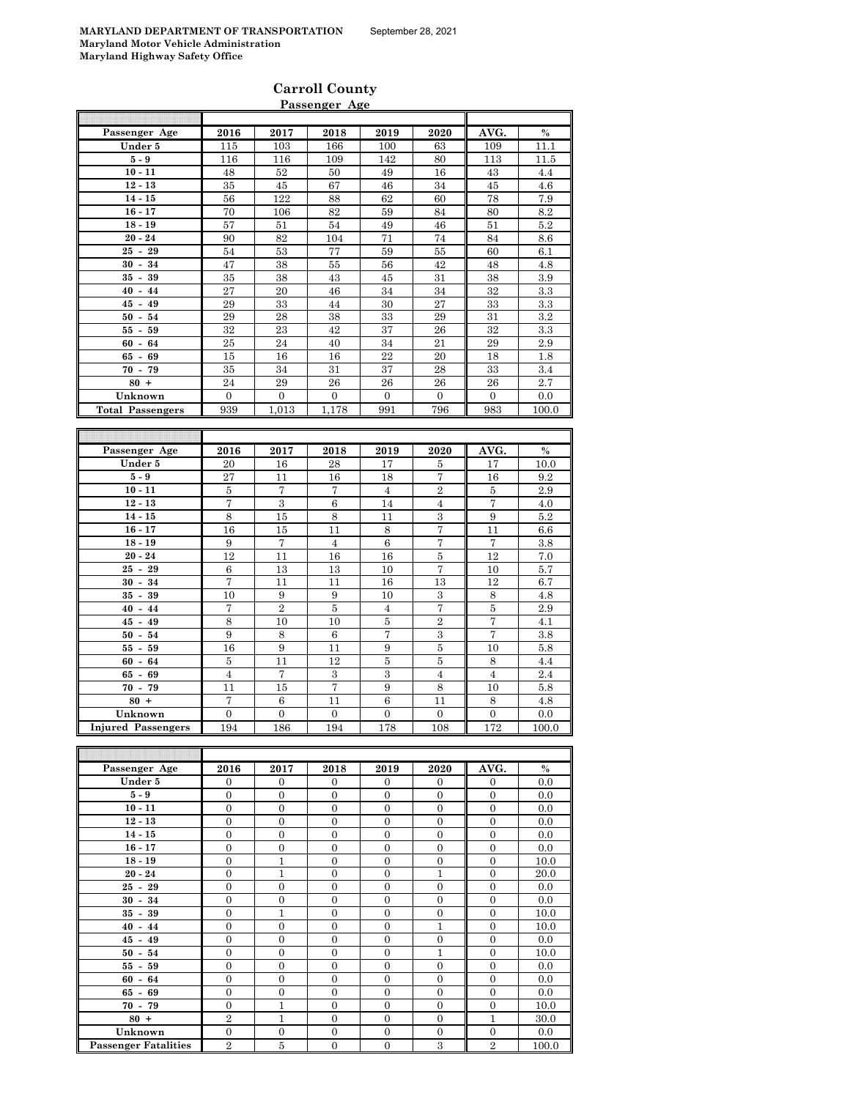### **Carroll County Passenger Age**

|                         |                  |                   | rassenger Age    |                          |                   |                   |                 |
|-------------------------|------------------|-------------------|------------------|--------------------------|-------------------|-------------------|-----------------|
|                         |                  |                   |                  |                          |                   |                   |                 |
| Passenger Age           | 2016             | 2017              | 2018             | 2019                     | 2020              | AVG.              | $\%$            |
| Under 5                 | 115              | 103               | 166              | 100                      | 63                | 109               | 11.1            |
| $5-9$                   | 116              | 116               | 109              | 142                      | 80                | 113               | 11.5            |
| $10 - 11$               | 48               | 52                | 50               | 49                       | 16                | 43                | 4.4             |
| $12 - 13$               | 35               | 45                | 67               | 46                       | 34                | 45                | 4.6             |
| $14 - 15$               | 56               | 122               | 88               | 62                       | 60                | 78                | 7.9             |
| $16 - 17$               | 70               | 106               | 82               | 59                       | 84                | 80                | 8.2             |
| $18 - 19$               | 57               | 51                | 54               | 49                       | 46                | 51                | 5.2             |
| $20 - 24$               | 90               | 82                | 104              | 71                       | 74                | 84                | $\!\!\!\!\!8.6$ |
| $25 - 29$               | 54               | 53                | 77               | 59                       | 55                | 60                | 6.1             |
| $30 - 34$               | 47               | 38                | 55               | $56\,$                   | 42                | 48                | 4.8             |
| $35 - 39$               | 35               | 38                | 43               | 45                       | 31                | 38                | 3.9             |
| $40 - 44$               | 27               | $20\,$            | 46               | 34                       | 34                | 32                | 3.3             |
| $45 - 49$               | 29               | 33                | 44               | $30\,$                   | 27                | 33                | $\!3.3$         |
| $50 - 54$               | 29               | 28                | 38               | 33                       | 29                | 31                | 3.2             |
| $55 - 59$               | 32               | 23                | 42               | 37                       | 26                | 32                | 3.3             |
| $60 - 64$               | 25               | 24                | 40               | 34                       | 21                | 29                | 2.9             |
| $65 - 69$               | 15               | 16                | 16               | $22\,$                   | 20                | 18                | 1.8             |
| $70 - 79$               | 35               | 34                | 31               | 37                       | 28                | 33                | 3.4             |
| $80 +$                  | 24               | 29                | 26               | 26                       | ${\bf 26}$        | ${\bf 26}$        | 2.7             |
| Unknown                 | $\overline{0}$   | $\mathbf{0}$      | $\mathbf{0}$     | $\boldsymbol{0}$         | 0                 | $\mathbf{0}$      | 0.0             |
| <b>Total Passengers</b> | 939              | 1,013             | 1,178            | 991                      | 796               | 983               | 100.0           |
|                         |                  |                   |                  |                          |                   |                   |                 |
|                         |                  |                   |                  |                          |                   |                   |                 |
| Passenger Age           | 2016             | 2017              | 2018             | 2019                     | 2020              | AVG.              | $\%$            |
| Under 5                 | 20               | 16                | 28               | 17                       | 5                 | 17                | 10.0            |
| $5-9$                   | 27               | 11                | 16               | 18                       | 7                 | 16                | 9.2             |
| $10 - 11$               | 5                | 7                 | 7                | $\overline{4}$           | $\overline{2}$    | $\bf 5$           | 2.9             |
| $12 - 13$               | $\overline{7}$   | $\mathbf{3}$      | $\,6$            | 14                       | $\overline{4}$    | $\overline{7}$    | 4.0             |
| $14 - 15$               | $\,8\,$          | 15                | 8                | 11                       | $\,3$             | 9                 | 5.2             |
| $16 - 17$               | 16               | 15                | 11               | 8                        | 7                 | $^{11}$           | 6.6             |
| $18 - 19$               | $\boldsymbol{9}$ | $\scriptstyle{7}$ | $\overline{4}$   | $\,6$                    | $\scriptstyle{7}$ | $\scriptstyle{7}$ | 3.8             |
| $20 - 24$               | 12               | 11                | 16               | 16                       | $\bf 5$           | 12                | 7.0             |
| $25 - 29$               | $\,6$            | 13                | 13               | 10                       | $\overline{7}$    | 10                | 5.7             |
| $30 - 34$               | 7                | 11                | $^{11}$          | 16                       | 13                | 12                | 6.7             |
| $35 - 39$               | 10               | 9                 | 9                | 10                       | $\,3$             | 8                 | 4.8             |
| $40 - 44$               | 7                | $\overline{2}$    | $\bf 5$          | $\overline{4}$           | 7                 | $\overline{5}$    | 2.9             |
| $45 - 49$               | 8                | 10                | 10               | 5                        | $\overline{2}$    | 7                 | 4.1             |
| $50 - 54$               | 9                | 8                 | $\,6\,$          | $\overline{\mathcal{I}}$ | $\,3\,$           | $\overline{7}$    | 3.8             |
| $55 - 59$               | 16               | $\boldsymbol{9}$  | $^{11}$          | $\boldsymbol{9}$         | $\bf 5$           | $10\,$            | 5.8             |
| $60 - 64$               | 5                | 11                | 12               | $\bf 5$                  | $\bf 5$           | $\,$ 8 $\,$       | 4.4             |
| $65 - 69$               | $\overline{4}$   | $\scriptstyle{7}$ | $\,3$            | $\,3\,$                  | $\bf{4}$          | $\overline{4}$    | 2.4             |
| $70 - 79$               | $^{11}$          | 15                | 7                | 9                        | 8                 | $10\,$            | 5.8             |
| $80 +$                  | 7                | 6                 | 11               | $\,6$                    | 11                | $\,$ 8 $\,$       | 4.8             |
| Unknown                 | $\boldsymbol{0}$ | $\boldsymbol{0}$  | $\boldsymbol{0}$ | $\boldsymbol{0}$         | $\boldsymbol{0}$  | $\boldsymbol{0}$  | 0.0             |
| <b>Injured Passeng</b>  | 194              | 186               | 194              | 178                      | 108               | 172               | 100.0           |
|                         |                  |                   |                  |                          |                   |                   |                 |
|                         |                  |                   |                  |                          |                   |                   |                 |
| Passenger Age           | 2016             | 2017              | 2018             | 2019                     | 2020              | AVG.              | $\%$            |
| Under 5                 | $\mathbf{0}$     | 0                 | 0                | 0                        | 0                 | 0                 | 0.0             |
| $5-9$                   | $\overline{0}$   | $\overline{0}$    | $\overline{0}$   | $\mathbf{0}$             | $\overline{0}$    | $\overline{0}$    | 0.0             |
| $10 - 11$               | $\boldsymbol{0}$ | $\boldsymbol{0}$  | $\boldsymbol{0}$ | $\boldsymbol{0}$         | $\boldsymbol{0}$  | $\boldsymbol{0}$  | 0.0             |
| $12 - 13$               | $\overline{0}$   | $\mathbf{0}$      | $\boldsymbol{0}$ | $\boldsymbol{0}$         | $\boldsymbol{0}$  | $\boldsymbol{0}$  | 0.0             |
| $14 - 15$               | $\boldsymbol{0}$ | $\boldsymbol{0}$  | $\boldsymbol{0}$ | $\boldsymbol{0}$         | $\boldsymbol{0}$  | $\boldsymbol{0}$  | 0.0             |
| $10 - 17$               | $\Omega$         | $\Omega$          | $\Omega$         | $\Omega$                 | $\Omega$          | $\Omega$          | 0 <sub>0</sub>  |

| $12 - 13$                   | $\Omega$       | $\Omega$     | $\Omega$       | $\Omega$     | $\Omega$         | $\Omega$       | 0.0   |
|-----------------------------|----------------|--------------|----------------|--------------|------------------|----------------|-------|
| $14 - 15$                   | $\Omega$       | $\Omega$     | $\Omega$       | $\Omega$     | $\Omega$         | $\Omega$       | 0.0   |
| $16 - 17$                   | $\Omega$       | $\Omega$     | $\overline{0}$ | $\mathbf{0}$ | $\Omega$         | $\Omega$       | 0.0   |
| $18 - 19$                   | $\Omega$       | 1            | $\Omega$       | $\Omega$     | $\Omega$         | $\Omega$       | 10.0  |
| $20 - 24$                   | $\Omega$       | 1            | $\Omega$       | $\Omega$     | 1                | $\Omega$       | 20.0  |
| $25 - 29$                   | $\Omega$       | $\Omega$     | $\overline{0}$ | $\mathbf{0}$ | $\Omega$         | $\Omega$       | 0.0   |
| $30 - 34$                   | $\Omega$       | $\Omega$     | $\overline{0}$ | $\mathbf{0}$ | $\mathbf{0}$     | $\Omega$       | 0.0   |
| $35 - 39$                   | $\theta$       | 1            | $\overline{0}$ | $\mathbf{0}$ | $\boldsymbol{0}$ | $\mathbf{0}$   | 10.0  |
| $40 - 44$                   | $\theta$       | $\mathbf{0}$ | $\overline{0}$ | $\mathbf{0}$ | 1                | $\mathbf{0}$   | 10.0  |
| $45 - 49$                   | $\theta$       | $\Omega$     | $\overline{0}$ | $\mathbf{0}$ | $\mathbf{0}$     | $\mathbf{0}$   | 0.0   |
| $50 - 54$                   | $\theta$       | $\Omega$     | $\overline{0}$ | $\mathbf{0}$ | 1                | $\mathbf{0}$   | 10.0  |
| $55 - 59$                   | $\theta$       | $\Omega$     | $\overline{0}$ | $\mathbf{0}$ | $\mathbf{0}$     | $\mathbf{0}$   | 0.0   |
| $60 - 64$                   | $\Omega$       | $\Omega$     | $\Omega$       | $\Omega$     | $\Omega$         | $\Omega$       | 0.0   |
| $65 - 69$                   | $\theta$       | $\Omega$     | $\overline{0}$ | $\mathbf{0}$ | $\Omega$         | $\Omega$       | 0.0   |
| $70 - 79$                   | $\Omega$       | $\mathbf{1}$ | $\overline{0}$ | $\mathbf{0}$ | $\Omega$         | $\Omega$       | 10.0  |
| $80 +$                      | $\overline{2}$ | $\mathbf{1}$ | $\overline{0}$ | $\mathbf{0}$ | $\Omega$         |                | 30.0  |
| Unknown                     | $\Omega$       | $\Omega$     | $\overline{0}$ | $\mathbf{0}$ | $\Omega$         | $\Omega$       | 0.0   |
| <b>Passenger Fatalities</b> | $\overline{2}$ | 5            | $\overline{0}$ | $\mathbf{0}$ | 3                | $\overline{2}$ | 100.0 |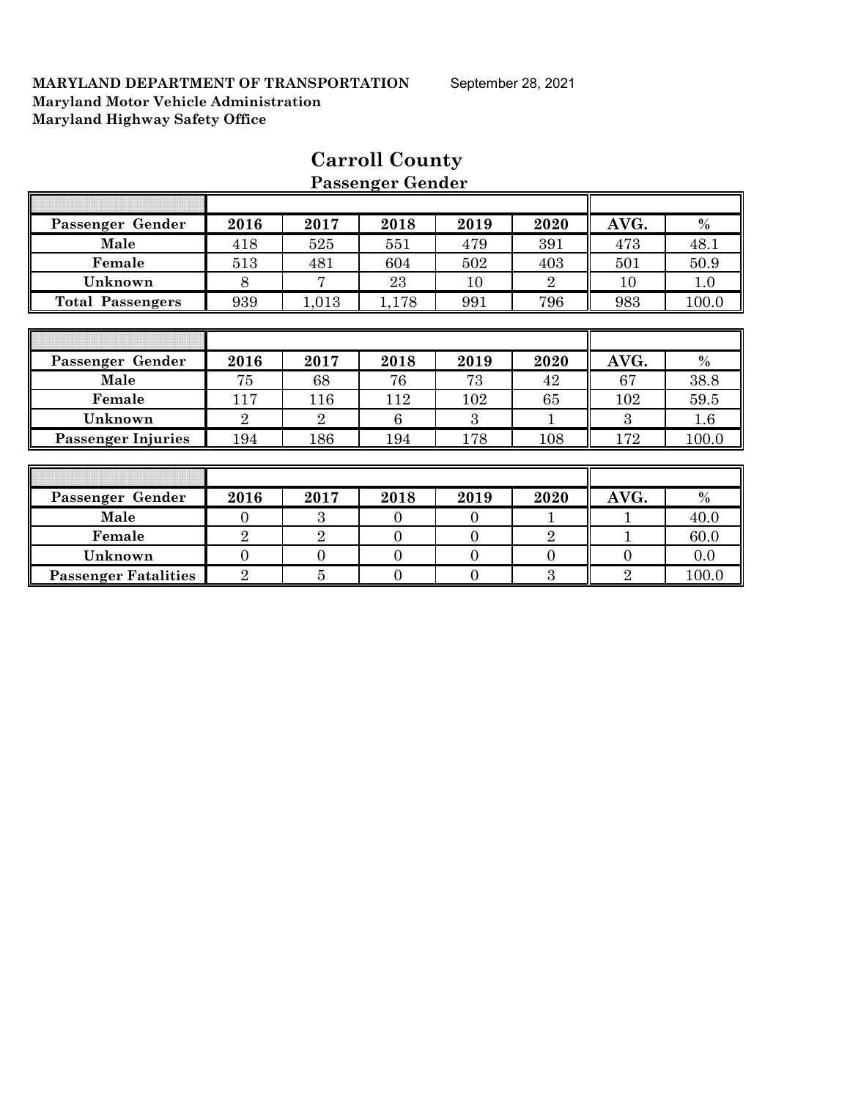|                             |                |                | r assenger achael |                |                |                |         |
|-----------------------------|----------------|----------------|-------------------|----------------|----------------|----------------|---------|
|                             |                |                |                   |                |                |                |         |
| Passenger Gender            | 2016           | 2017           | 2018              | 2019           | 2020           | AVG.           | $\%$    |
| Male                        | 418            | 525            | 551               | 479            | 391            | 473            | 48.1    |
| Female                      | 513            | 481            | 604               | 502            | 403            | 501            | 50.9    |
| Unknown                     | 8              | 7              | 23                | 10             | $\overline{2}$ | 10             | 1.0     |
| <b>Total Passengers</b>     | 939            | 1,013          | 1,178             | 991            | 796            | 983            | 100.0   |
|                             |                |                |                   |                |                |                |         |
|                             |                |                |                   |                |                |                |         |
| Passenger Gender            | 2016           | 2017           | 2018              | 2019           | 2020           | AVG.           | $\%$    |
| Male                        | 75             | 68             | 76                | 73             | 42             | 67             | 38.8    |
| Female                      | 117            | 116            | 112               | 102            | 65             | 102            | 59.5    |
| Unknown                     | $\overline{2}$ | $\overline{2}$ | 6                 | 3              |                | 3              | $1.6\,$ |
| <b>Passenger Injuries</b>   | 194            | 186            | 194               | 178            | 108            | 172            | 100.0   |
|                             |                |                |                   |                |                |                |         |
|                             |                |                |                   |                |                |                |         |
| Passenger Gender            | 2016           | 2017           | 2018              | 2019           | 2020           | AVG.           | $\%$    |
| Male                        | $\overline{0}$ | 3              | $\overline{0}$    | $\overline{0}$ | 1              |                | 40.0    |
| Female                      | $\overline{2}$ | $\overline{2}$ | $\theta$          | $\theta$       | $\overline{2}$ |                | 60.0    |
| Unknown                     | $\overline{0}$ | $\overline{0}$ | $\overline{0}$    | $\overline{0}$ | $\overline{0}$ | $\theta$       | 0.0     |
| <b>Passenger Fatalities</b> | $\overline{2}$ | 5              | $\overline{0}$    | $\overline{0}$ | 3              | $\overline{2}$ | 100.0   |

# **Carroll County Passenger Gender**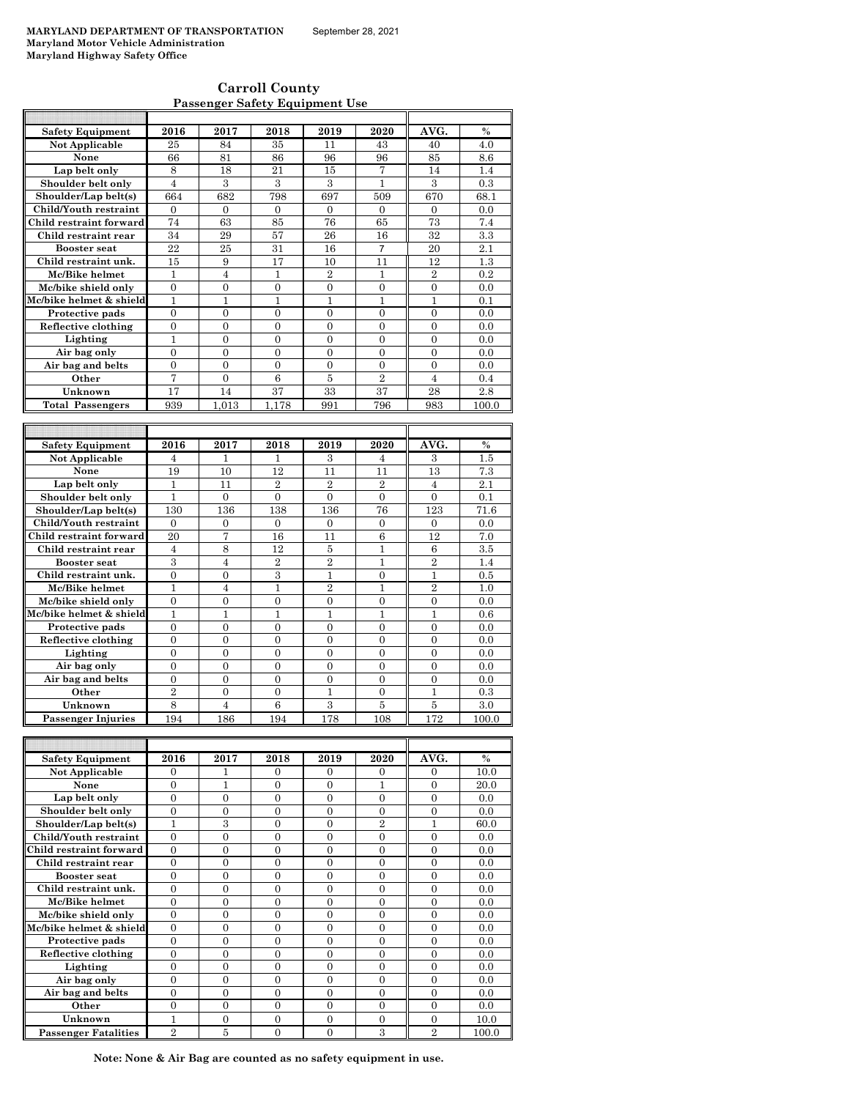| <b>Carroll County</b>                 |  |
|---------------------------------------|--|
| <b>Passenger Safety Equipment Use</b> |  |

| <b>Safety Equipment</b>              | 2016           | 2017                  | 2018                  | 2019                  | 2020                  | AVG.                  | $\frac{0}{0}$ |
|--------------------------------------|----------------|-----------------------|-----------------------|-----------------------|-----------------------|-----------------------|---------------|
| <b>Not Applicable</b>                | 25             | 84                    | 35                    | 11                    | 43                    | 40                    | 4.0           |
| None                                 | 66             | 81                    | 86                    | 96                    | 96                    | 85                    | 8.6           |
| Lap belt only                        | 8              | 18                    | 21                    | 15                    | 7                     | 14                    | 1.4           |
| Shoulder belt only                   | $\overline{4}$ | 3                     | 3                     | 3                     | $\mathbf{1}$          | 3                     | 0.3           |
| Shoulder/Lap belt(s)                 | 664            | 682                   | 798                   | 697                   | 509                   | 670                   | 68.1          |
| Child/Youth restraint                | $\theta$       | $\Omega$              | $\theta$              | $\theta$              | $\mathbf{0}$          | $\theta$              | 0.0           |
| Child restraint forward              | 74             | 63                    | 85                    | 76                    | 65                    | 73                    | 7.4           |
| Child restraint rear                 | 34             | 29                    | 57                    | 26                    | 16                    | 32                    | 3.3           |
| <b>Booster seat</b>                  | 22             | 25                    | 31                    | 16                    | $\overline{7}$        | 20                    | 2.1           |
| Child restraint unk.                 | 15             | 9                     | 17                    | 10                    | 11                    | 12                    | 1.3           |
| Mc/Bike helmet                       | $\mathbf{1}$   | $\overline{4}$        | $\mathbf{1}$          | $\overline{2}$        | $\mathbf{1}$          | $\overline{2}$        | 0.2           |
| Mc/bike shield only                  | $\overline{0}$ | $\overline{0}$        | $\overline{0}$        | $\overline{0}$        | $\overline{0}$        | $\overline{0}$        | 0.0           |
| Mc/bike helmet & shield              | $\mathbf{1}$   | $\mathbf{1}$          | $\mathbf{1}$          | $\mathbf{1}$          | 1                     | $\mathbf{1}$          | 0.1           |
| Protective pads                      | $\theta$       | $\overline{0}$        | $\theta$              | $\theta$              | $\theta$              | $\theta$              | 0.0           |
| Reflective clothing                  | $\overline{0}$ | $\overline{0}$        | $\overline{0}$        | $\mathbf{0}$          | $\overline{0}$        | $\overline{0}$        | 0.0           |
| Lighting                             | $\mathbf{1}$   | $\overline{0}$        | $\overline{0}$        | $\overline{0}$        | $\overline{0}$        | $\overline{0}$        | 0.0           |
| Air bag only                         | $\theta$       | $\theta$              | $\theta$              | $\theta$              | $\theta$              | $\theta$              | 0.0           |
| Air bag and belts                    | $\overline{0}$ | $\overline{0}$        | $\overline{0}$        | $\overline{0}$        | $\overline{0}$        | $\overline{0}$        | 0.0           |
| Other                                | 7              | $\overline{0}$        | 6                     | 5                     | $\overline{2}$        | $\overline{4}$        | 0.4           |
| Unknown                              | 17             | 14                    | 37                    | 33                    | 37                    | 28                    | 2.8           |
| <b>Total Passengers</b>              | 939            | 1.013                 | 1.178                 | 991                   | 796                   | 983                   | 100.0         |
|                                      |                |                       |                       |                       |                       |                       |               |
|                                      |                |                       |                       |                       |                       |                       |               |
| <b>Safety Equipment</b>              | 2016           | 2017                  | 2018                  | 2019                  | 2020                  | AVG.                  | $\frac{0}{0}$ |
| <b>Not Applicable</b>                | $\overline{4}$ | $\mathbf{1}$          | 1                     | 3                     | $\overline{4}$        | 3                     | 1.5           |
| None                                 | 19             | 10                    | 12<br>$\overline{2}$  | 11                    | 11                    | 13                    | 7.3           |
| Lap belt only                        | $\mathbf{1}$   | 11                    |                       |                       |                       |                       |               |
| Shoulder belt only                   |                |                       |                       | $\overline{2}$        | $\overline{2}$        | $\overline{4}$        | 2.1           |
|                                      | 1              | $\overline{0}$        | $\overline{0}$        | $\theta$              | $\theta$              | $\theta$              | 0.1           |
| Shoulder/Lap belt(s)                 | 130            | 136                   | 138                   | 136                   | 76                    | 123                   | 71.6          |
| Child/Youth restraint                | $\mathbf{0}$   | $\mathbf{0}$          | $\mathbf{0}$          | $\mathbf{0}$          | $\mathbf{0}$          | 0                     | 0.0           |
| Child restraint forward              | 20             | 7                     | 16                    | 11                    | 6                     | 12                    | 7.0           |
| Child restraint rear                 | $\overline{4}$ | 8                     | 12                    | 5                     | 1                     | 6                     | 3.5           |
| <b>Booster seat</b>                  | 3              | $\overline{4}$        | $\overline{2}$        | $\overline{2}$        | 1                     | $\overline{2}$        | 1.4           |
| Child restraint unk.                 | $\theta$       | $\theta$              | 3                     | $\mathbf{1}$          | $\theta$              | $\mathbf{1}$          | 0.5           |
| Mc/Bike helmet                       | $\mathbf{1}$   | $\overline{4}$        | $\mathbf{1}$          | $\overline{2}$        | 1                     | $\overline{2}$        | 1.0           |
| Mc/bike shield only                  | $\overline{0}$ | $\overline{0}$        | $\overline{0}$        | $\overline{0}$        | $\overline{0}$        | $\overline{0}$        | 0.0           |
| Mc/bike helmet & shield              | $\mathbf{1}$   | $\mathbf{1}$          | $\mathbf{1}$          | $\mathbf{1}$          | $\mathbf{1}$          | $\mathbf{1}$          | 0.6           |
| Protective pads                      | $\overline{0}$ | $\overline{0}$        | $\overline{0}$        | $\overline{0}$        | $\overline{0}$        | $\overline{0}$        | 0.0           |
| Reflective clothing                  | $\overline{0}$ | $\overline{0}$        | $\overline{0}$        | $\mathbf{0}$          | $\Omega$              | $\Omega$              | 0.0           |
| Lighting                             | $\overline{0}$ | $\overline{0}$        | $\overline{0}$        | $\overline{0}$        | $\overline{0}$        | $\overline{0}$        | 0.0           |
| Air bag only                         | $\overline{0}$ | $\overline{0}$        | $\overline{0}$        | $\theta$              | $\theta$              | $\theta$              | 0.0           |
| Air bag and belts                    | $\overline{0}$ | $\overline{0}$        | $\overline{0}$        | $\mathbf{0}$          | $\overline{0}$        | $\overline{0}$        | 0.0           |
| Other                                | $\overline{2}$ | $\theta$              | $\theta$              | $\mathbf{1}$          | $\theta$              | 1                     | 0.3           |
| Unknown<br><b>Passenger Injuries</b> | 8<br>194       | $\overline{4}$<br>186 | $\overline{6}$<br>194 | $\overline{3}$<br>178 | $\overline{5}$<br>108 | $\overline{5}$<br>172 | 3.0<br>100.0  |

| <b>Safety Equipment</b>     | 2016           | 2017     | 2018     | 2019     | 2020           | AVG.           | $\frac{0}{0}$ |
|-----------------------------|----------------|----------|----------|----------|----------------|----------------|---------------|
| <b>Not Applicable</b>       | 0              |          | 0        | $\Omega$ | $\Omega$       | $\Omega$       | 10.0          |
| None                        | 0              |          | $\Omega$ | 0        |                | $\Omega$       | 20.0          |
| Lap belt only               | $\Omega$       | $\Omega$ | $\Omega$ | $\Omega$ | $\Omega$       | $\Omega$       | 0.0           |
| Shoulder belt only          | $\Omega$       | $\theta$ | $\theta$ | $\Omega$ | $\Omega$       | 0              | 0.0           |
| Shoulder/Lap belt(s)        | 1              | 3        | $\Omega$ | $\Omega$ | $\overline{2}$ |                | 60.0          |
| Child/Youth restraint       | $\theta$       | 0        | 0        | 0        | $\theta$       | $\theta$       | 0.0           |
| Child restraint forward     | $\Omega$       | 0        | 0        | $\Omega$ | $\Omega$       | $\Omega$       | 0.0           |
| Child restraint rear        | $\Omega$       | $\Omega$ | $\Omega$ | $\Omega$ | $\Omega$       | $\Omega$       | 0.0           |
| <b>Booster seat</b>         | $\Omega$       | $\Omega$ | $\Omega$ | $\Omega$ | $\Omega$       | $\Omega$       | 0.0           |
| Child restraint unk.        | 0              | 0        | 0        | 0        | 0              | 0              | 0.0           |
| Mc/Bike helmet              | $\Omega$       | $\Omega$ | $\Omega$ | $\Omega$ | $\Omega$       | $\Omega$       | 0.0           |
| Mc/bike shield only         | $\Omega$       | $\Omega$ | $\Omega$ | $\Omega$ | $\Omega$       | $\Omega$       | 0.0           |
| Mc/bike helmet & shield     | $\Omega$       | $\Omega$ | $\Omega$ | $\Omega$ | $\Omega$       | $\Omega$       | 0.0           |
| Protective pads             | 0              | $\Omega$ | $\Omega$ | 0        | 0              | 0              | 0.0           |
| Reflective clothing         | $\Omega$       | $\Omega$ | $\Omega$ | $\Omega$ | $\Omega$       | $\Omega$       | 0.0           |
| Lighting                    | $\Omega$       | $\Omega$ | $\Omega$ | $\Omega$ | $\Omega$       | $\Omega$       | 0.0           |
| Air bag only                | $\Omega$       | $\Omega$ | $\Omega$ | $\Omega$ | $\Omega$       | $\Omega$       | 0.0           |
| Air bag and belts           | 0              | 0        | 0        | 0        | 0              | 0              | 0.0           |
| Other                       | 0              | $\Omega$ | $\Omega$ | $\Omega$ | $\Omega$       | $\Omega$       | 0.0           |
| Unknown                     | 1              | $\Omega$ | $\Omega$ | $\Omega$ | $\Omega$       | $\Omega$       | 10.0          |
| <b>Passenger Fatalities</b> | $\overline{2}$ | 5        | 0        | 0        | 3              | $\overline{2}$ | 100.0         |

**Note: None & Air Bag are counted as no safety equipment in use.**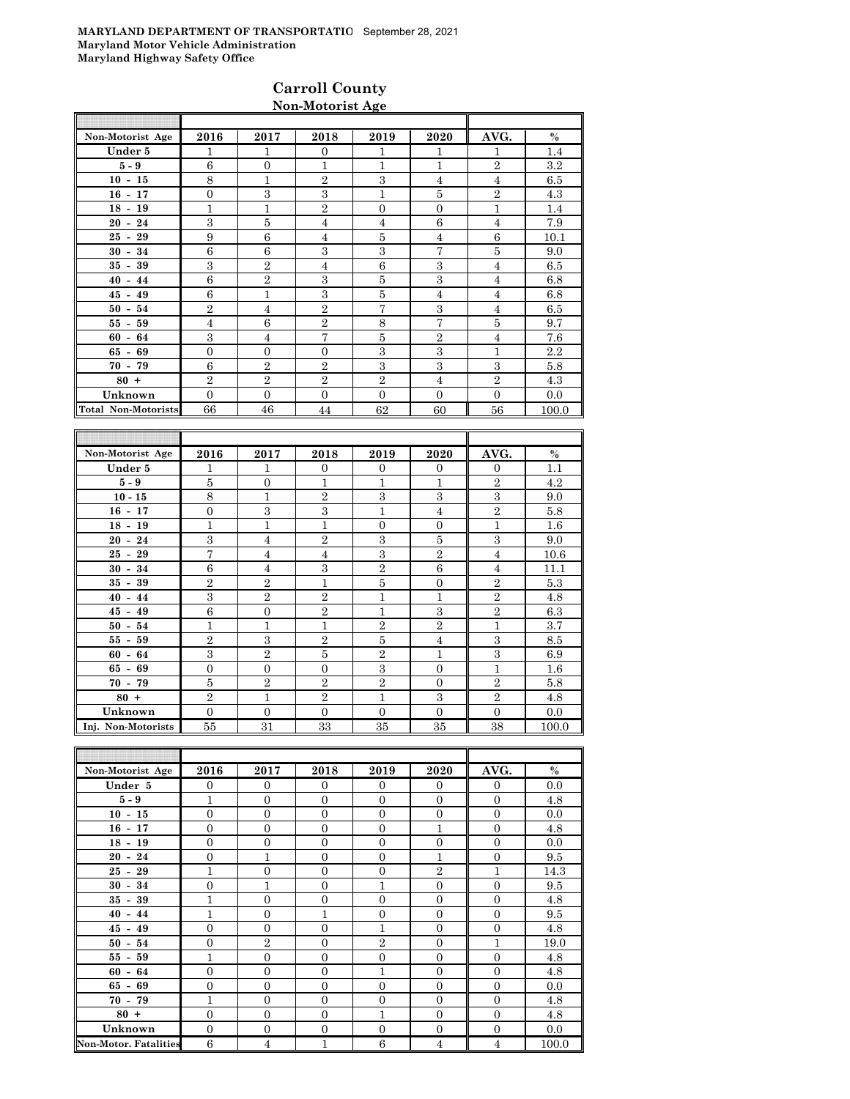### **Carroll County Non-Motorist Age**

| Non-Motorist Age           | 2016           | 2017           | 2018           | 2019           | 2020           | AVG.           | $\%$    |
|----------------------------|----------------|----------------|----------------|----------------|----------------|----------------|---------|
| Under 5                    | 1              | 1              | $\Omega$       | 1              | 1              | 1              | 1.4     |
| $5-9$                      | 6              | $\mathbf{0}$   | 1              | 1              | $\overline{1}$ | $\overline{2}$ | $3.2\,$ |
| $10 - 15$                  | 8              | 1              | $\overline{2}$ | 3              | $\overline{4}$ | $\overline{4}$ | 6.5     |
| $16 - 17$                  | $\overline{0}$ | 3              | 3              | 1              | 5              | $\mathbf{2}$   | 4.3     |
| $18 - 19$                  | 1              | 1              | $\overline{2}$ | $\Omega$       | $\overline{0}$ | 1              | 1.4     |
| $20 - 24$                  | 3              | $\overline{5}$ | $\overline{4}$ | $\overline{4}$ | 6              | $\overline{4}$ | 7.9     |
| $25 - 29$                  | 9              | 6              | 4              | 5              | $\overline{4}$ | 6              | 10.1    |
| $30 - 34$                  | 6              | 6              | 3              | 3              | 7              | 5              | 9.0     |
| $35 - 39$                  | 3              | $\overline{2}$ | 4              | 6              | 3              | $\overline{4}$ | 6.5     |
| $40 - 44$                  | 6              | $\overline{2}$ | 3              | 5              | 3              | $\overline{4}$ | 6.8     |
| $45 - 49$                  | 6              | $\mathbf{1}$   | 3              | 5              | $\overline{4}$ | $\overline{4}$ | 6.8     |
| $50 - 54$                  | $\overline{2}$ | $\overline{4}$ | $\overline{2}$ | 7              | 3              | $\overline{4}$ | 6.5     |
| $55 - 59$                  | $\overline{4}$ | 6              | $\overline{2}$ | 8              | 7              | 5              | 9.7     |
| $60 - 64$                  | 3              | $\overline{4}$ | 7              | 5              | $\overline{2}$ | $\overline{4}$ | 7.6     |
| $65 - 69$                  | $\overline{0}$ | $\mathbf{0}$   | $\Omega$       | 3              | 3              | 1              | 2.2     |
| $70 - 79$                  | 6              | $\overline{2}$ | $\overline{2}$ | 3              | 3              | 3              | 5.8     |
| $80 +$                     | $\overline{2}$ | $\overline{2}$ | $\overline{2}$ | $\mathbf{2}$   | $\overline{4}$ | $\overline{2}$ | 4.3     |
| Unknown                    | $\Omega$       | $\Omega$       | $\Omega$       | $\Omega$       | $\Omega$       | $\Omega$       | 0.0     |
| <b>Total Non-Motorists</b> | 66             | 46             | 44             | 62             | 60             | 56             | 100.0   |

| Non-Motorist Age   | 2016           | 2017           | 2018           | 2019           | 2020           | AVG.           | $\%$    |
|--------------------|----------------|----------------|----------------|----------------|----------------|----------------|---------|
| Under 5            | 1              | 1              | $\Omega$       | $\Omega$       | $\overline{0}$ | $\Omega$       | 1.1     |
| $5-9$              | 5              | $\overline{0}$ | 1              | 1              | 1              | $\overline{2}$ | 4.2     |
| $10 - 15$          | 8              | $\overline{1}$ | $\overline{2}$ | 3              | 3              | 3              | 9.0     |
| $16 - 17$          | $\overline{0}$ | 3              | 3              | 1              | $\overline{4}$ | $\overline{2}$ | 5.8     |
| $18 - 19$          | $\mathbf{1}$   | $\overline{1}$ | 1              | $\overline{0}$ | $\overline{0}$ | $\mathbf{1}$   | 1.6     |
| $20 - 24$          | 3              | $\overline{4}$ | $\overline{2}$ | 3              | $\overline{5}$ | 3              | 9.0     |
| $25 - 29$          | 7              | $\overline{4}$ | $\overline{4}$ | 3              | $\overline{2}$ | $\overline{4}$ | 10.6    |
| $30 - 34$          | 6              | $\overline{4}$ | 3              | $\overline{2}$ | 6              | $\overline{4}$ | 11.1    |
| $35 - 39$          | $\overline{2}$ | $\overline{2}$ | $\mathbf{1}$   | 5              | $\overline{0}$ | $\overline{2}$ | 5.3     |
| $40 - 44$          | 3              | $\overline{2}$ | $\overline{2}$ | 1              | $\mathbf{1}$   | $\overline{2}$ | 4.8     |
| $45 - 49$          | 6              | $\overline{0}$ | $\overline{2}$ | $\mathbf{1}$   | 3              | $\overline{2}$ | 6.3     |
| $50 - 54$          | 1              | $\overline{1}$ | 1              | $\overline{2}$ | $\overline{2}$ | 1              | 3.7     |
| $55 - 59$          | $\overline{2}$ | 3              | $\overline{2}$ | 5              | $\overline{4}$ | 3              | 8.5     |
| $60 - 64$          | 3              | $\overline{2}$ | 5              | $\overline{2}$ | $\overline{1}$ | 3              | 6.9     |
| $65 - 69$          | $\overline{0}$ | $\overline{0}$ | $\Omega$       | 3              | $\overline{0}$ | $\mathbf{1}$   | $1.6\,$ |
| $70 - 79$          | 5              | $\overline{2}$ | $\overline{2}$ | $\overline{2}$ | $\overline{0}$ | $\overline{2}$ | 5.8     |
| $80 +$             | $\overline{2}$ | $\mathbf{1}$   | $\overline{2}$ | 1              | 3              | $\overline{2}$ | 4.8     |
| Unknown            | $\mathbf{0}$   | $\overline{0}$ | $\Omega$       | $\overline{0}$ | $\overline{0}$ | $\mathbf{0}$   | 0.0     |
| Inj. Non-Motorists | 55             | 31             | 33             | 35             | 35             | 38             | 100.0   |

| Non-Motorist Age             | 2016           | 2017           | 2018           | 2019           | 2020           | AVG.           | $\%$  |
|------------------------------|----------------|----------------|----------------|----------------|----------------|----------------|-------|
| Under 5                      | $\Omega$       | $\theta$       | $\Omega$       | $\Omega$       | $\overline{0}$ | $\mathbf{0}$   | 0.0   |
| $5 - 9$                      | $\mathbf{1}$   | $\overline{0}$ | $\mathbf{0}$   | $\theta$       | $\mathbf{0}$   | $\mathbf{0}$   | 4.8   |
| $10 - 15$                    | $\overline{0}$ | $\overline{0}$ | $\overline{0}$ | $\overline{0}$ | $\mathbf{0}$   | $\overline{0}$ | 0.0   |
| $16 - 17$                    | $\overline{0}$ | $\overline{0}$ | $\overline{0}$ | $\overline{0}$ | $\overline{1}$ | $\mathbf{0}$   | 4.8   |
| $18 - 19$                    | $\overline{0}$ | $\overline{0}$ | $\overline{0}$ | $\Omega$       | $\mathbf{0}$   | $\overline{0}$ | 0.0   |
| $20 - 24$                    | $\Omega$       | $\mathbf{1}$   | $\Omega$       | $\Omega$       | 1              | $\Omega$       | 9.5   |
| $25 - 29$                    | $\mathbf{1}$   | $\overline{0}$ | $\overline{0}$ | $\overline{0}$ | $\overline{2}$ | 1              | 14.3  |
| $30 - 34$                    | $\overline{0}$ | $\mathbf{1}$   | $\overline{0}$ | 1              | $\mathbf{0}$   | $\overline{0}$ | 9.5   |
| $35 - 39$                    | $\overline{1}$ | $\overline{0}$ | $\overline{0}$ | $\overline{0}$ | $\mathbf{0}$   | $\mathbf{0}$   | 4.8   |
| $40 - 44$                    | 1              | $\overline{0}$ | $\mathbf{1}$   | $\overline{0}$ | $\theta$       | $\overline{0}$ | 9.5   |
| $45 - 49$                    | $\Omega$       | $\Omega$       | $\Omega$       | $\mathbf{1}$   | $\Omega$       | $\Omega$       | 4.8   |
| $50 - 54$                    | $\overline{0}$ | $\sqrt{2}$     | $\overline{0}$ | $\overline{2}$ | $\mathbf{0}$   | 1              | 19.0  |
| $55 - 59$                    | 1              | $\overline{0}$ | $\overline{0}$ | $\overline{0}$ | $\overline{0}$ | $\overline{0}$ | 4.8   |
| $60 - 64$                    | $\overline{0}$ | $\mathbf{0}$   | $\overline{0}$ | $\mathbf{1}$   | $\mathbf{0}$   | $\mathbf{0}$   | 4.8   |
| $65 - 69$                    | $\overline{0}$ | $\mathbf{0}$   | $\overline{0}$ | $\overline{0}$ | $\overline{0}$ | $\overline{0}$ | 0.0   |
| $70 - 79$                    | $\mathbf{1}$   | $\overline{0}$ | $\Omega$       | $\Omega$       | $\overline{0}$ | $\Omega$       | 4.8   |
| $80 +$                       | $\overline{0}$ | $\overline{0}$ | $\Omega$       | $\mathbf{1}$   | $\mathbf{0}$   | $\Omega$       | 4.8   |
| Unknown                      | $\overline{0}$ | $\overline{0}$ | $\overline{0}$ | $\overline{0}$ | $\mathbf{0}$   | $\overline{0}$ | 0.0   |
| <b>Non-Motor. Fatalities</b> | 6              | $\overline{4}$ | 1              | 6              | $\overline{4}$ | $\overline{4}$ | 100.0 |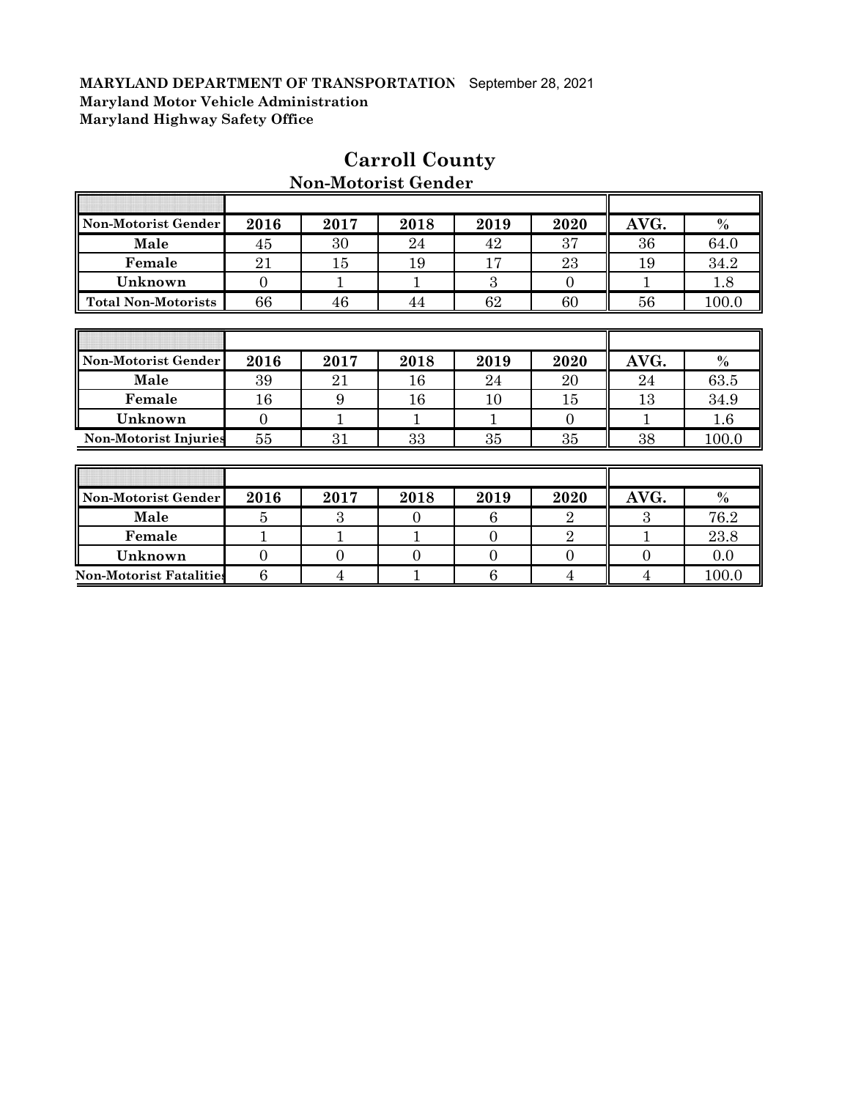$\overline{\phantom{a}}$ 

| Non-Motorist Gender          | 2016           | 2017           | 2018     | 2019           | 2020           | AVG.           | $\%$    |
|------------------------------|----------------|----------------|----------|----------------|----------------|----------------|---------|
| Male                         | 45             | 30             | 24       | 42             | 37             | 36             | 64.0    |
| Female                       | 21             | 15             | 19       | 17             | 23             | 19             | 34.2    |
| Unknown                      | $\overline{0}$ | 1              | 1        | 3              | $\overline{0}$ |                | 1.8     |
| <b>Total Non-Motorists</b>   | 66             | 46             | 44       | 62             | 60             | 56             | 100.0   |
|                              |                |                |          |                |                |                |         |
|                              |                |                |          |                |                |                |         |
| Non-Motorist Gender          | 2016           | 2017           | 2018     | 2019           | 2020           | AVG.           | $\%$    |
| Male                         | 39             | 21             | 16       | 24             | 20             | 24             | 63.5    |
| Female                       | 16             | 9              | 16       | 10             | 15             | 13             | 34.9    |
| Unknown                      | $\Omega$       | 1              | 1        | 1              | $\Omega$       | 1              | $1.6\,$ |
| <b>Non-Motorist Injuries</b> | 55             | 31             | 33       | 35             | 35             | 38             | 100.0   |
|                              |                |                |          |                |                |                |         |
|                              |                |                |          |                |                |                |         |
| Non-Motorist Gender          | 2016           | 2017           | 2018     | 2019           | 2020           | AVG.           | $\%$    |
| Male                         | 5              | 3              | $\Omega$ | 6              | $\overline{2}$ | 3              | 76.2    |
| Female                       | $\mathbf{1}$   | 1              | 1        | $\theta$       | $\overline{2}$ | 1              | 23.8    |
| Unknown                      | $\overline{0}$ | $\overline{0}$ | 0        | $\overline{0}$ | $\overline{0}$ | $\overline{0}$ | 0.0     |

**Non-Motorist Fatalities** 6 4 1 1 6 4 4 100.0

# **Carroll County Non-Motorist Gender**

 $\overline{\mathbb{T}}$ 

╗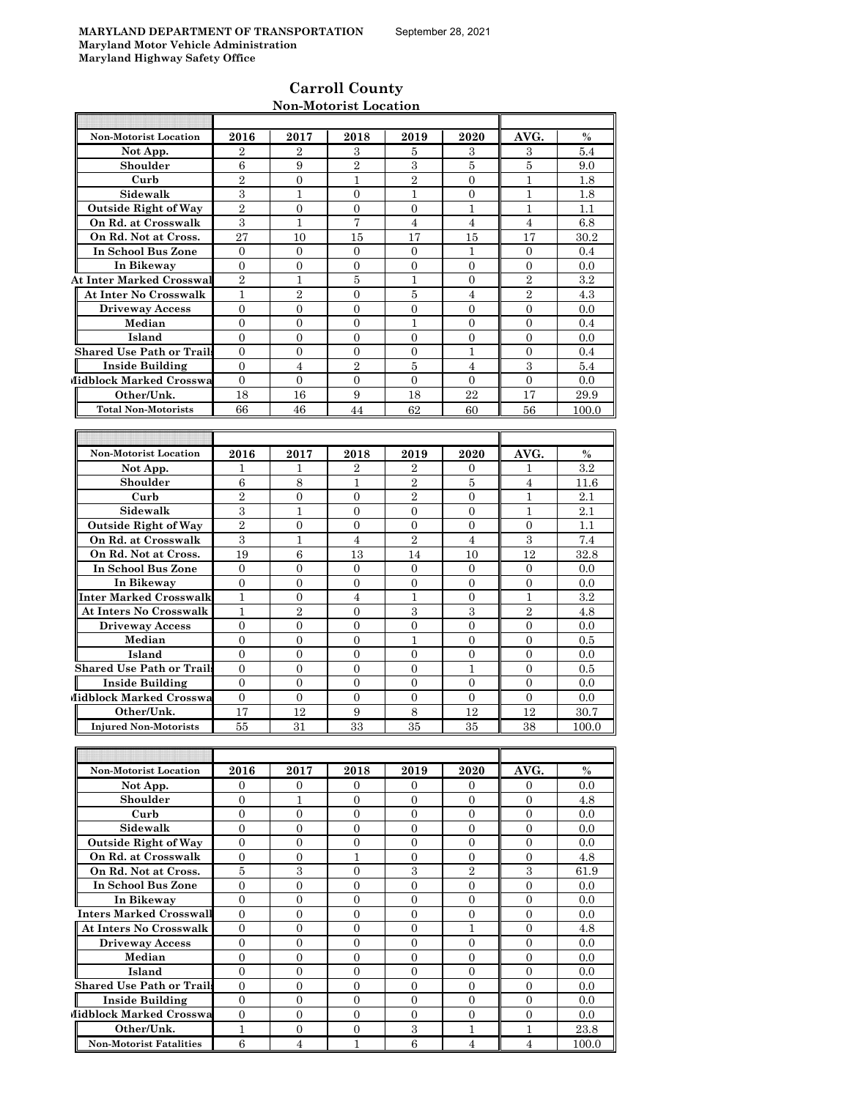# **Carroll County Non-Motorist Location**

| <b>Non-Motorist Location</b>     | 2016             | 2017             | 2018             | 2019             | 2020             | AVG.             | $\%$    |
|----------------------------------|------------------|------------------|------------------|------------------|------------------|------------------|---------|
| Not App.                         | $\overline{2}$   | 2                | 3                | 5                | 3                | 3                | 5.4     |
| Shoulder                         | 6                | 9                | $\overline{2}$   | 3                | 5                | 5                | 9.0     |
| Curb                             | $\overline{2}$   | $\overline{0}$   | $\mathbf{1}$     | $\overline{2}$   | $\overline{0}$   | 1                | 1.8     |
| Sidewalk                         | 3                | 1                | $\overline{0}$   | 1                | $\overline{0}$   | 1                | 1.8     |
| <b>Outside Right of Way</b>      | $\overline{2}$   | $\mathbf{0}$     | $\mathbf{0}$     | 0                | 1                | 1                | 1.1     |
| On Rd. at Crosswalk              | 3                | 1                | 7                | $\overline{4}$   | $\overline{4}$   | $\overline{4}$   | 6.8     |
| On Rd. Not at Cross.             | 27               | 10               | 15               | 17               | 15               | 17               | 30.2    |
| In School Bus Zone               | $\overline{0}$   | $\mathbf{0}$     | $\overline{0}$   | $\overline{0}$   | $\mathbf{1}$     | $\overline{0}$   | 0.4     |
| In Bikeway                       | 0                | 0                | $\overline{0}$   | $\boldsymbol{0}$ | $\overline{0}$   | $\mathbf{0}$     | 0.0     |
| <b>At Inter Marked Crosswal</b>  | $\overline{2}$   | 1                | 5                | 1                | $\overline{0}$   | $\overline{2}$   | 3.2     |
| At Inter No Crosswalk            | $\mathbf{1}$     | $\overline{2}$   | $\overline{0}$   | 5                | $\overline{4}$   | $\overline{2}$   | 4.3     |
| <b>Driveway Access</b>           | $\overline{0}$   | $\overline{0}$   | $\overline{0}$   | $\overline{0}$   | $\Omega$         | $\Omega$         | 0.0     |
| Median                           | $\overline{0}$   | $\overline{0}$   | $\overline{0}$   | 1                | $\overline{0}$   | $\Omega$         | 0.4     |
| Island                           | $\overline{0}$   | $\mathbf{0}$     | $\overline{0}$   | $\overline{0}$   | $\Omega$         | $\Omega$         | 0.0     |
| <b>Shared Use Path or Trails</b> | $\overline{0}$   | $\overline{0}$   | $\overline{0}$   | $\overline{0}$   | $\mathbf{1}$     | $\overline{0}$   | 0.4     |
| <b>Inside Building</b>           | $\overline{0}$   | $\overline{4}$   | $\overline{2}$   | 5                | 4                | 3                | 5.4     |
| Midblock Marked Crosswa          | $\mathbf{0}$     | $\mathbf{0}$     | $\overline{0}$   | $\overline{0}$   | $\mathbf{0}$     | $\overline{0}$   | 0.0     |
| Other/Unk.                       | 18               | 16               | 9                | 18               | 22               | 17               | 29.9    |
| <b>Total Non-Motorists</b>       | 66               | 46               | 44               | 62               | 60               | 56               | 100.0   |
|                                  |                  |                  |                  |                  |                  |                  |         |
|                                  |                  |                  |                  |                  |                  |                  |         |
| <b>Non-Motorist Location</b>     | 2016             | 2017             | 2018             | 2019             | 2020             | AVG.             | $\%$    |
| Not App.                         | 1                | 1                | $\mathbf{2}$     | $\overline{2}$   | $\overline{0}$   | 1                | 3.2     |
| Shoulder                         | 6                | 8                | 1                | $\overline{2}$   | 5                | 4                | 11.6    |
| Curb                             | $\overline{2}$   | $\mathbf{0}$     | $\overline{0}$   | $\overline{2}$   | $\mathbf{0}$     | $\mathbf{1}$     | 2.1     |
| Sidewalk                         | 3                | $\mathbf{1}$     | $\overline{0}$   | $\overline{0}$   | $\overline{0}$   | $\mathbf{1}$     | 2.1     |
| <b>Outside Right of Way</b>      | $\overline{2}$   | 0                | $\mathbf{0}$     | $\boldsymbol{0}$ | $\overline{0}$   | $\overline{0}$   | 1.1     |
| On Rd. at Crosswalk              | 3                | 1                | $\overline{4}$   | $\overline{2}$   | 4                | 3                | 7.4     |
| On Rd. Not at Cross.             | 19               | 6                | 13               | 14               | 10               | 12               | 32.8    |
| In School Bus Zone               | $\overline{0}$   | $\overline{0}$   | $\overline{0}$   | $\overline{0}$   | $\overline{0}$   | $\overline{0}$   | 0.0     |
| In Bikeway                       | $\mathbf{0}$     | $\mathbf{0}$     | $\mathbf{0}$     | 0                | $\mathbf{0}$     | $\mathbf{0}$     | 0.0     |
| Inter Marked Crosswalk           | 1                | $\mathbf{0}$     | $\overline{4}$   | 1                | $\overline{0}$   | $\mathbf{1}$     | 3.2     |
| <b>At Inters No Crosswalk</b>    | $\mathbf{1}$     | $\overline{2}$   | $\overline{0}$   | 3                | 3                | $\overline{2}$   | 4.8     |
| <b>Driveway Access</b>           | $\overline{0}$   | $\mathbf{0}$     | $\mathbf{0}$     | $\boldsymbol{0}$ | $\overline{0}$   | $\mathbf{0}$     | 0.0     |
| Median                           | $\boldsymbol{0}$ | 0                | $\mathbf{0}$     | 1                | $\overline{0}$   | $\mathbf{0}$     | $0.5\,$ |
| Island                           | $\overline{0}$   | $\overline{0}$   | $\overline{0}$   | $\overline{0}$   | $\overline{0}$   | $\overline{0}$   | 0.0     |
| Shared Use Path or Trail         | $\overline{0}$   | $\overline{0}$   | $\overline{0}$   | $\overline{0}$   | 1                | $\Omega$         | 0.5     |
| <b>Inside Building</b>           | $\overline{0}$   | $\overline{0}$   | $\overline{0}$   | $\overline{0}$   | $\overline{0}$   | $\overline{0}$   | 0.0     |
| Midblock Marked Crosswa          | $\overline{0}$   | $\mathbf{0}$     | $\overline{0}$   | $\overline{0}$   | $\mathbf{0}$     | $\overline{0}$   | 0.0     |
| Other/Unk.                       | 17               | 12               | 9                | 8                | 12               | 12               | 30.7    |
| <b>Injured Non-Motorists</b>     | 55               | 31               | 33               | 35               | 35               | 38               | 100.0   |
|                                  |                  |                  |                  |                  |                  |                  |         |
|                                  |                  |                  |                  |                  |                  |                  |         |
| Non-Motorist Location            | 2016             | 2017             | 2018             | 2019             | 2020             | AVG.             | $\%$    |
| Not App.                         | $\overline{0}$   | $\overline{0}$   | $\overline{0}$   | $\mathbf{0}$     | $\mathbf{0}$     | $\mathbf{0}$     | 0.0     |
| Shoulder                         | $\overline{0}$   | $\mathbf{1}$     | $\overline{0}$   | 0                | $\overline{0}$   | 0                | 4.8     |
| Curb                             | 0                | $\mathbf{0}$     | $\overline{0}$   | 0                | $\overline{0}$   | $\mathbf{0}$     | 0.0     |
| Sidewalk                         | $\overline{0}$   | $\mathbf{0}$     | $\overline{0}$   | $\boldsymbol{0}$ | $\overline{0}$   | $\mathbf{0}$     | 0.0     |
| <b>Outside Right of Way</b>      | $\boldsymbol{0}$ | $\boldsymbol{0}$ | $\boldsymbol{0}$ | $\boldsymbol{0}$ | $\boldsymbol{0}$ | $\overline{0}$   | 0.0     |
| On Rd. at Crosswalk              | $\boldsymbol{0}$ | $\boldsymbol{0}$ | $\mathbf{1}$     | $\boldsymbol{0}$ | $\boldsymbol{0}$ | $\boldsymbol{0}$ | 4.8     |
| On Rd. Not at Cross.             | $\bf 5$          | $\,3$            | $\overline{0}$   | $\,3$            | $\,2$            | $\,3$            | 61.9    |
| In School Bus Zone               | $\mathbf{0}$     | $\mathbf{0}$     | $\boldsymbol{0}$ | $\boldsymbol{0}$ | $\boldsymbol{0}$ | $\boldsymbol{0}$ | 0.0     |
| In Bikeway                       | $\overline{0}$   | $\mathbf{0}$     | $\overline{0}$   | $\overline{0}$   | $\overline{0}$   | $\overline{0}$   | 0.0     |
| <b>Inters Marked Crosswall</b>   | $\boldsymbol{0}$ | $\mathbf{0}$     | $\boldsymbol{0}$ | $\boldsymbol{0}$ | $\boldsymbol{0}$ | $\overline{0}$   | 0.0     |
| <b>At Inters No Crosswalk</b>    | $\overline{0}$   | $\overline{0}$   | $\overline{0}$   | $\overline{0}$   | $\mathbf{1}$     | $\overline{0}$   | 4.8     |
| <b>Driveway Access</b>           | $\boldsymbol{0}$ | $\boldsymbol{0}$ | $\boldsymbol{0}$ | $\boldsymbol{0}$ | $\boldsymbol{0}$ | $\boldsymbol{0}$ | 0.0     |
| Median                           | $\mathbf{0}$     | $\mathbf{0}$     | $\boldsymbol{0}$ | $\boldsymbol{0}$ | $\boldsymbol{0}$ | $\boldsymbol{0}$ | 0.0     |
| Island                           | $\overline{0}$   | $\mathbf{0}$     | $\boldsymbol{0}$ | $\boldsymbol{0}$ | $\overline{0}$   | $\overline{0}$   | 0.0     |
| <b>Shared Use Path or Trails</b> | $\mathbf{0}$     | $\mathbf{0}$     | $\boldsymbol{0}$ | $\boldsymbol{0}$ | $\mathbf{0}$     | $\boldsymbol{0}$ | 0.0     |
| <b>Inside Building</b>           | $\mathbf{0}$     | $\boldsymbol{0}$ | $\boldsymbol{0}$ | $\boldsymbol{0}$ | $\boldsymbol{0}$ | $\boldsymbol{0}$ | 0.0     |
| Midblock Marked Crosswa          | $\mathbf{0}$     | $\boldsymbol{0}$ | $\boldsymbol{0}$ | $\boldsymbol{0}$ | $\boldsymbol{0}$ | $\boldsymbol{0}$ | 0.0     |
| Other/Unk.                       | $\overline{1}$   | $\boldsymbol{0}$ | $\boldsymbol{0}$ | 3                | $\mathbf{1}$     | $\mathbf{1}$     | 23.8    |
| <b>Non-Motorist Fatalities</b>   | $\,6\,$          | $\overline{4}$   | $\mathbf{1}$     | $\,6\,$          | $\overline{4}$   | $\overline{4}$   | 100.0   |